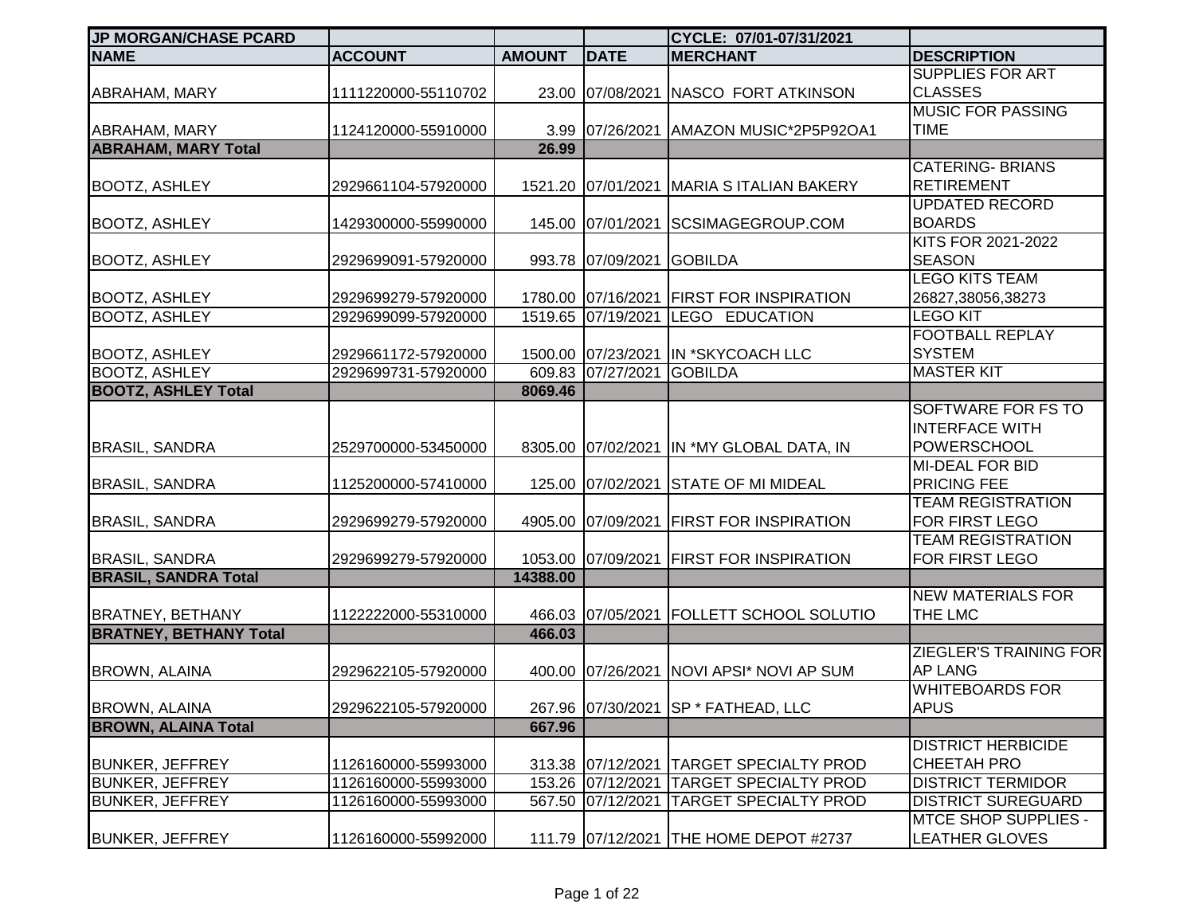| <b>JP MORGAN/CHASE PCARD</b>  |                     |               |                    | CYCLE: 07/01-07/31/2021                   |                             |
|-------------------------------|---------------------|---------------|--------------------|-------------------------------------------|-----------------------------|
| <b>NAME</b>                   | <b>ACCOUNT</b>      | <b>AMOUNT</b> | <b>DATE</b>        | <b>MERCHANT</b>                           | <b>DESCRIPTION</b>          |
|                               |                     |               |                    |                                           | <b>SUPPLIES FOR ART</b>     |
| ABRAHAM, MARY                 | 1111220000-55110702 |               |                    | 23.00 07/08/2021 NASCO FORT ATKINSON      | <b>CLASSES</b>              |
|                               |                     |               |                    |                                           | <b>MUSIC FOR PASSING</b>    |
| <b>ABRAHAM, MARY</b>          | 1124120000-55910000 |               | 3.99 07/26/2021    | AMAZON MUSIC*2P5P92OA1                    | <b>TIME</b>                 |
| <b>ABRAHAM, MARY Total</b>    |                     | 26.99         |                    |                                           |                             |
|                               |                     |               |                    |                                           | <b>CATERING- BRIANS</b>     |
| <b>BOOTZ, ASHLEY</b>          | 2929661104-57920000 |               |                    | 1521.20 07/01/2021 MARIA SITALIAN BAKERY  | <b>RETIREMENT</b>           |
|                               |                     |               |                    |                                           | <b>UPDATED RECORD</b>       |
| <b>BOOTZ, ASHLEY</b>          | 1429300000-55990000 |               | 145.00 07/01/2021  | SCSIMAGEGROUP.COM                         | <b>BOARDS</b>               |
|                               |                     |               |                    |                                           | KITS FOR 2021-2022          |
| <b>BOOTZ, ASHLEY</b>          | 2929699091-57920000 |               | 993.78 07/09/2021  | <b>GOBILDA</b>                            | <b>SEASON</b>               |
|                               |                     |               |                    |                                           | <b>LEGO KITS TEAM</b>       |
| <b>BOOTZ, ASHLEY</b>          | 2929699279-57920000 |               | 1780.00 07/16/2021 | <b>FIRST FOR INSPIRATION</b>              | 26827,38056,38273           |
| <b>BOOTZ, ASHLEY</b>          | 2929699099-57920000 |               | 1519.65 07/19/2021 | LEGO EDUCATION                            | <b>LEGO KIT</b>             |
|                               |                     |               |                    |                                           | <b>FOOTBALL REPLAY</b>      |
| <b>BOOTZ, ASHLEY</b>          | 2929661172-57920000 |               |                    | 1500.00 07/23/2021 IN *SKYCOACH LLC       | <b>SYSTEM</b>               |
| <b>BOOTZ, ASHLEY</b>          | 2929699731-57920000 | 609.83        | 07/27/2021         | <b>GOBILDA</b>                            | <b>MASTER KIT</b>           |
| <b>BOOTZ, ASHLEY Total</b>    |                     | 8069.46       |                    |                                           |                             |
|                               |                     |               |                    |                                           | SOFTWARE FOR FS TO          |
|                               |                     |               |                    |                                           | <b>INTERFACE WITH</b>       |
| <b>BRASIL, SANDRA</b>         | 2529700000-53450000 |               |                    | 8305.00 07/02/2021 IN *MY GLOBAL DATA, IN | <b>POWERSCHOOL</b>          |
|                               |                     |               |                    |                                           | <b>MI-DEAL FOR BID</b>      |
| <b>BRASIL, SANDRA</b>         | 1125200000-57410000 |               | 125.00 07/02/2021  | <b>STATE OF MI MIDEAL</b>                 | <b>PRICING FEE</b>          |
|                               |                     |               |                    |                                           | <b>TEAM REGISTRATION</b>    |
| <b>BRASIL, SANDRA</b>         | 2929699279-57920000 |               | 4905.00 07/09/2021 | <b>FIRST FOR INSPIRATION</b>              | FOR FIRST LEGO              |
|                               |                     |               |                    |                                           | <b>TEAM REGISTRATION</b>    |
| <b>BRASIL, SANDRA</b>         | 2929699279-57920000 |               | 1053.00 07/09/2021 | <b>FIRST FOR INSPIRATION</b>              | FOR FIRST LEGO              |
| <b>BRASIL, SANDRA Total</b>   |                     | 14388.00      |                    |                                           |                             |
|                               |                     |               |                    |                                           | <b>NEW MATERIALS FOR</b>    |
| <b>BRATNEY, BETHANY</b>       | 1122222000-55310000 |               | 466.03 07/05/2021  | <b>FOLLETT SCHOOL SOLUTIO</b>             | THE LMC                     |
| <b>BRATNEY, BETHANY Total</b> |                     | 466.03        |                    |                                           |                             |
|                               |                     |               |                    |                                           | ZIEGLER'S TRAINING FOR      |
| <b>BROWN, ALAINA</b>          | 2929622105-57920000 |               |                    | 400.00 07/26/2021 NOVI APSI* NOVI AP SUM  | <b>AP LANG</b>              |
|                               |                     |               |                    |                                           | <b>WHITEBOARDS FOR</b>      |
| <b>BROWN, ALAINA</b>          | 2929622105-57920000 |               |                    | 267.96   07/30/2021   SP * FATHEAD, LLC   | <b>APUS</b>                 |
| <b>BROWN, ALAINA Total</b>    |                     | 667.96        |                    |                                           |                             |
|                               |                     |               |                    |                                           | <b>DISTRICT HERBICIDE</b>   |
| <b>BUNKER, JEFFREY</b>        | 1126160000-55993000 |               | 313.38 07/12/2021  | <b>TARGET SPECIALTY PROD</b>              | <b>CHEETAH PRO</b>          |
| <b>BUNKER, JEFFREY</b>        | 1126160000-55993000 |               | 153.26 07/12/2021  | <b>TARGET SPECIALTY PROD</b>              | <b>DISTRICT TERMIDOR</b>    |
| <b>BUNKER, JEFFREY</b>        | 1126160000-55993000 |               | 567.50 07/12/2021  | <b>TARGET SPECIALTY PROD</b>              | <b>DISTRICT SUREGUARD</b>   |
|                               |                     |               |                    |                                           | <b>MTCE SHOP SUPPLIES -</b> |
| <b>BUNKER, JEFFREY</b>        | 1126160000-55992000 |               |                    | 111.79 07/12/2021 THE HOME DEPOT #2737    | <b>LEATHER GLOVES</b>       |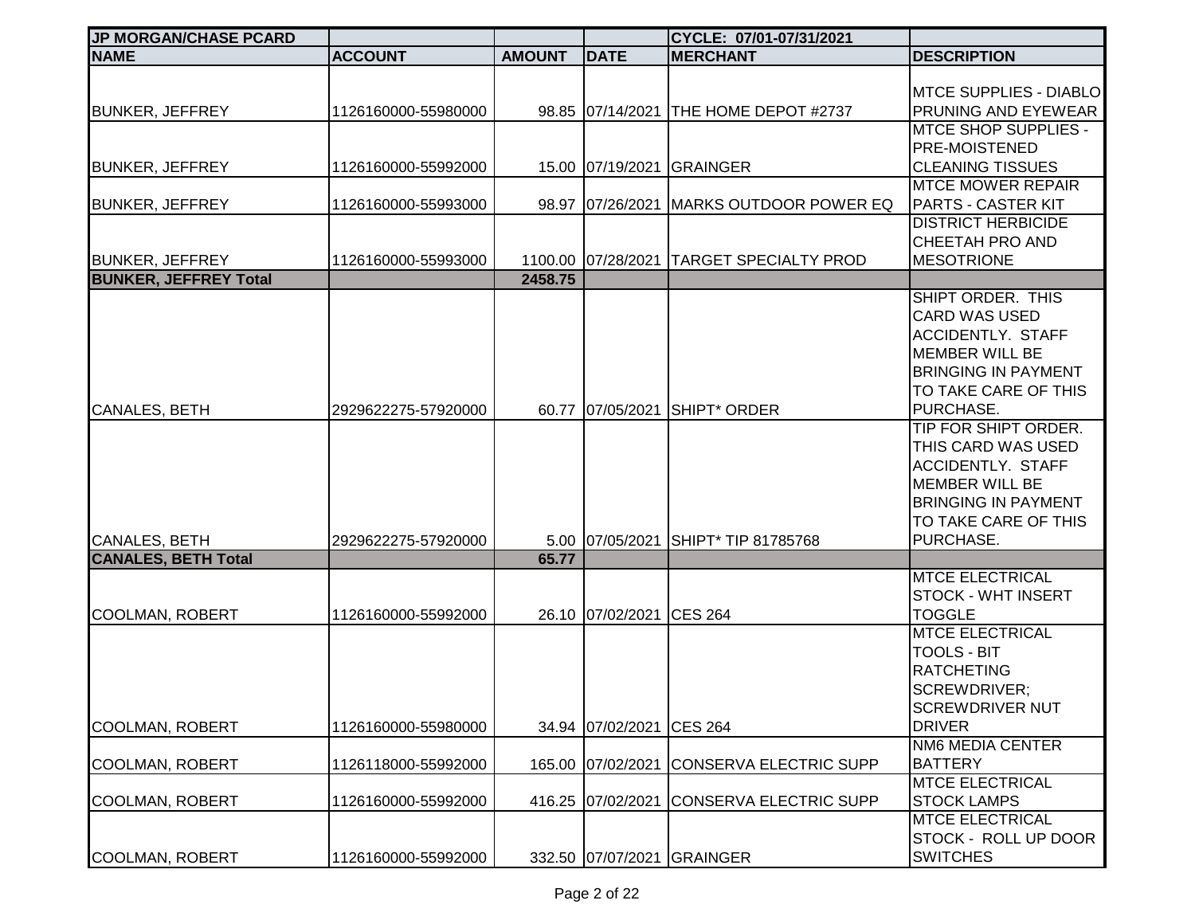| <b>JP MORGAN/CHASE PCARD</b> |                     |               |                          | CYCLE: 07/01-07/31/2021                  |                                                                                                                                                                                                                                                                                                           |
|------------------------------|---------------------|---------------|--------------------------|------------------------------------------|-----------------------------------------------------------------------------------------------------------------------------------------------------------------------------------------------------------------------------------------------------------------------------------------------------------|
| <b>NAME</b>                  | <b>ACCOUNT</b>      | <b>AMOUNT</b> | <b>DATE</b>              | <b>MERCHANT</b>                          | <b>DESCRIPTION</b>                                                                                                                                                                                                                                                                                        |
| <b>BUNKER, JEFFREY</b>       | 1126160000-55980000 |               |                          | 98.85 07/14/2021 THE HOME DEPOT #2737    | <b>MTCE SUPPLIES - DIABLO</b><br>PRUNING AND EYEWEAR                                                                                                                                                                                                                                                      |
| <b>BUNKER, JEFFREY</b>       | 1126160000-55992000 |               |                          | 15.00 07/19/2021 GRAINGER                | <b>MTCE SHOP SUPPLIES -</b><br><b>PRE-MOISTENED</b><br><b>CLEANING TISSUES</b>                                                                                                                                                                                                                            |
| <b>BUNKER, JEFFREY</b>       | 1126160000-55993000 |               | 98.97 07/26/2021         | <b>MARKS OUTDOOR POWER EQ</b>            | <b>MTCE MOWER REPAIR</b><br><b>PARTS - CASTER KIT</b><br><b>DISTRICT HERBICIDE</b>                                                                                                                                                                                                                        |
| <b>BUNKER, JEFFREY</b>       | 1126160000-55993000 |               |                          | 1100.00 07/28/2021 TARGET SPECIALTY PROD | CHEETAH PRO AND<br><b>MESOTRIONE</b>                                                                                                                                                                                                                                                                      |
| <b>BUNKER, JEFFREY Total</b> |                     | 2458.75       |                          |                                          |                                                                                                                                                                                                                                                                                                           |
| <b>CANALES, BETH</b>         | 2929622275-57920000 |               | 60.77 07/05/2021         | SHIPT <sup>*</sup> ORDER                 | SHIPT ORDER. THIS<br><b>CARD WAS USED</b><br><b>ACCIDENTLY. STAFF</b><br><b>MEMBER WILL BE</b><br><b>BRINGING IN PAYMENT</b><br>TO TAKE CARE OF THIS<br>PURCHASE.<br><b>TIP FOR SHIPT ORDER.</b><br>THIS CARD WAS USED<br><b>ACCIDENTLY. STAFF</b><br><b>MEMBER WILL BE</b><br><b>BRINGING IN PAYMENT</b> |
|                              |                     |               |                          |                                          | TO TAKE CARE OF THIS                                                                                                                                                                                                                                                                                      |
| <b>CANALES, BETH</b>         | 2929622275-57920000 |               |                          | 5.00 07/05/2021 SHIPT* TIP 81785768      | PURCHASE.                                                                                                                                                                                                                                                                                                 |
| <b>CANALES, BETH Total</b>   |                     | 65.77         |                          |                                          |                                                                                                                                                                                                                                                                                                           |
| <b>COOLMAN, ROBERT</b>       | 1126160000-55992000 |               | 26.10 07/02/2021 CES 264 |                                          | <b>MTCE ELECTRICAL</b><br>STOCK - WHT INSERT<br><b>TOGGLE</b>                                                                                                                                                                                                                                             |
| <b>COOLMAN, ROBERT</b>       | 1126160000-55980000 |               | 34.94 07/02/2021         | <b>CES 264</b>                           | <b>MTCE ELECTRICAL</b><br><b>TOOLS - BIT</b><br><b>RATCHETING</b><br>SCREWDRIVER;<br><b>SCREWDRIVER NUT</b><br><b>DRIVER</b>                                                                                                                                                                              |
|                              |                     |               |                          |                                          | NM6 MEDIA CENTER                                                                                                                                                                                                                                                                                          |
| <b>COOLMAN, ROBERT</b>       | 1126118000-55992000 |               | 165.00 07/02/2021        | <b>CONSERVA ELECTRIC SUPP</b>            | <b>BATTERY</b>                                                                                                                                                                                                                                                                                            |
| <b>COOLMAN, ROBERT</b>       | 1126160000-55992000 |               | 416.25 07/02/2021        | CONSERVA ELECTRIC SUPP                   | <b>MTCE ELECTRICAL</b><br><b>STOCK LAMPS</b><br><b>MTCE ELECTRICAL</b>                                                                                                                                                                                                                                    |
| <b>COOLMAN, ROBERT</b>       | 1126160000-55992000 |               | 332.50 07/07/2021        | <b>GRAINGER</b>                          | <b>STOCK - ROLL UP DOOR</b><br><b>SWITCHES</b>                                                                                                                                                                                                                                                            |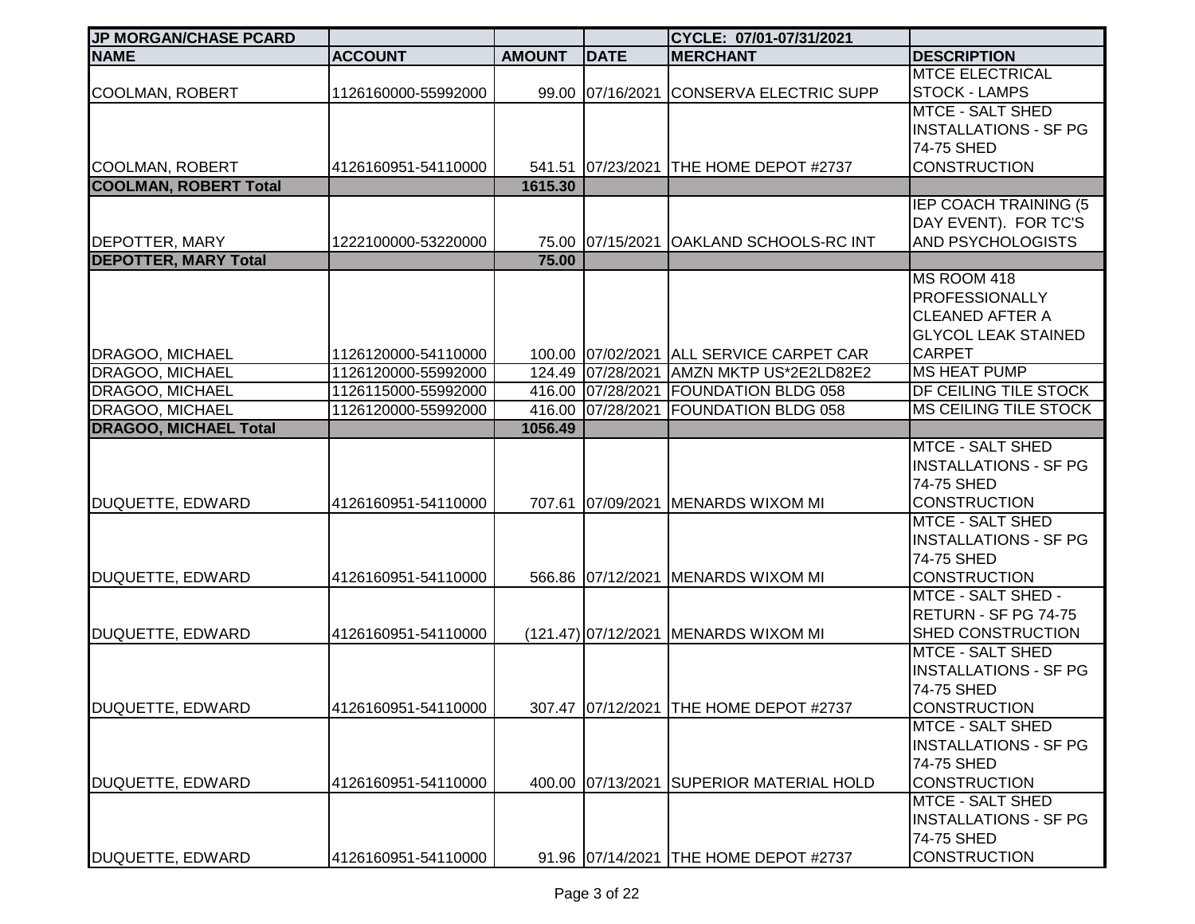| <b>JP MORGAN/CHASE PCARD</b> |                     |               |                   | CYCLE: 07/01-07/31/2021                  |                                                         |
|------------------------------|---------------------|---------------|-------------------|------------------------------------------|---------------------------------------------------------|
| <b>NAME</b>                  | <b>ACCOUNT</b>      | <b>AMOUNT</b> | <b>DATE</b>       | <b>MERCHANT</b>                          | <b>DESCRIPTION</b>                                      |
|                              |                     |               |                   |                                          | <b>MTCE ELECTRICAL</b>                                  |
| <b>COOLMAN, ROBERT</b>       | 1126160000-55992000 |               | 99.00 07/16/2021  | CONSERVA ELECTRIC SUPP                   | <b>STOCK - LAMPS</b>                                    |
|                              |                     |               |                   |                                          | <b>MTCE - SALT SHED</b>                                 |
|                              |                     |               |                   |                                          | <b>INSTALLATIONS - SF PG</b><br>74-75 SHED              |
| <b>COOLMAN, ROBERT</b>       | 4126160951-54110000 |               |                   | 541.51 07/23/2021 THE HOME DEPOT #2737   | <b>CONSTRUCTION</b>                                     |
| <b>COOLMAN, ROBERT Total</b> |                     | 1615.30       |                   |                                          |                                                         |
|                              |                     |               |                   |                                          | IEP COACH TRAINING (5                                   |
|                              |                     |               |                   |                                          | DAY EVENT). FOR TC'S                                    |
| <b>DEPOTTER, MARY</b>        | 1222100000-53220000 |               |                   | 75.00 07/15/2021 OAKLAND SCHOOLS-RC INT  | AND PSYCHOLOGISTS                                       |
| <b>DEPOTTER, MARY Total</b>  |                     | 75.00         |                   |                                          |                                                         |
|                              |                     |               |                   |                                          | MS ROOM 418                                             |
|                              |                     |               |                   |                                          | <b>PROFESSIONALLY</b>                                   |
|                              |                     |               |                   |                                          | <b>CLEANED AFTER A</b>                                  |
|                              |                     |               |                   |                                          | <b>GLYCOL LEAK STAINED</b>                              |
| DRAGOO, MICHAEL              | 1126120000-54110000 |               |                   | 100.00 07/02/2021 ALL SERVICE CARPET CAR | <b>CARPET</b>                                           |
| <b>DRAGOO, MICHAEL</b>       | 1126120000-55992000 |               |                   | 124.49 07/28/2021 AMZN MKTP US*2E2LD82E2 | <b>MS HEAT PUMP</b>                                     |
| DRAGOO, MICHAEL              | 1126115000-55992000 |               |                   | 416.00 07/28/2021 FOUNDATION BLDG 058    | DF CEILING TILE STOCK                                   |
| <b>DRAGOO, MICHAEL</b>       | 1126120000-55992000 |               | 416.00 07/28/2021 | <b>FOUNDATION BLDG 058</b>               | <b>MS CEILING TILE STOCK</b>                            |
| <b>DRAGOO, MICHAEL Total</b> |                     | 1056.49       |                   |                                          |                                                         |
|                              |                     |               |                   |                                          | <b>MTCE - SALT SHED</b><br><b>INSTALLATIONS - SF PG</b> |
|                              |                     |               |                   |                                          | 74-75 SHED                                              |
| DUQUETTE, EDWARD             | 4126160951-54110000 |               |                   | 707.61 07/09/2021 MENARDS WIXOM MI       | <b>CONSTRUCTION</b>                                     |
|                              |                     |               |                   |                                          | <b>MTCE - SALT SHED</b>                                 |
|                              |                     |               |                   |                                          | <b>INSTALLATIONS - SF PG</b>                            |
|                              |                     |               |                   |                                          | 74-75 SHED                                              |
| DUQUETTE, EDWARD             | 4126160951-54110000 |               |                   | 566.86 07/12/2021 MENARDS WIXOM MI       | <b>CONSTRUCTION</b>                                     |
|                              |                     |               |                   |                                          | <b>MTCE - SALT SHED -</b>                               |
|                              |                     |               |                   |                                          | RETURN - SF PG 74-75                                    |
| DUQUETTE, EDWARD             | 4126160951-54110000 |               |                   | (121.47) 07/12/2021 MENARDS WIXOM MI     | SHED CONSTRUCTION                                       |
|                              |                     |               |                   |                                          | <b>MTCE - SALT SHED</b>                                 |
|                              |                     |               |                   |                                          | <b>INSTALLATIONS - SF PG</b>                            |
|                              |                     |               |                   |                                          | 74-75 SHED                                              |
| DUQUETTE, EDWARD             | 4126160951-54110000 |               |                   | 307.47 07/12/2021 THE HOME DEPOT #2737   | <b>CONSTRUCTION</b>                                     |
|                              |                     |               |                   |                                          | <b>MTCE - SALT SHED</b>                                 |
|                              |                     |               |                   |                                          | <b>INSTALLATIONS - SF PG</b>                            |
|                              |                     |               |                   |                                          | 74-75 SHED                                              |
| DUQUETTE, EDWARD             | 4126160951-54110000 |               | 400.00 07/13/2021 | <b>SUPERIOR MATERIAL HOLD</b>            | <b>CONSTRUCTION</b><br><b>MTCE - SALT SHED</b>          |
|                              |                     |               |                   |                                          | <b>INSTALLATIONS - SF PG</b>                            |
|                              |                     |               |                   |                                          | 74-75 SHED                                              |
| DUQUETTE, EDWARD             | 4126160951-54110000 |               |                   | 91.96 07/14/2021 THE HOME DEPOT #2737    | <b>CONSTRUCTION</b>                                     |
|                              |                     |               |                   |                                          |                                                         |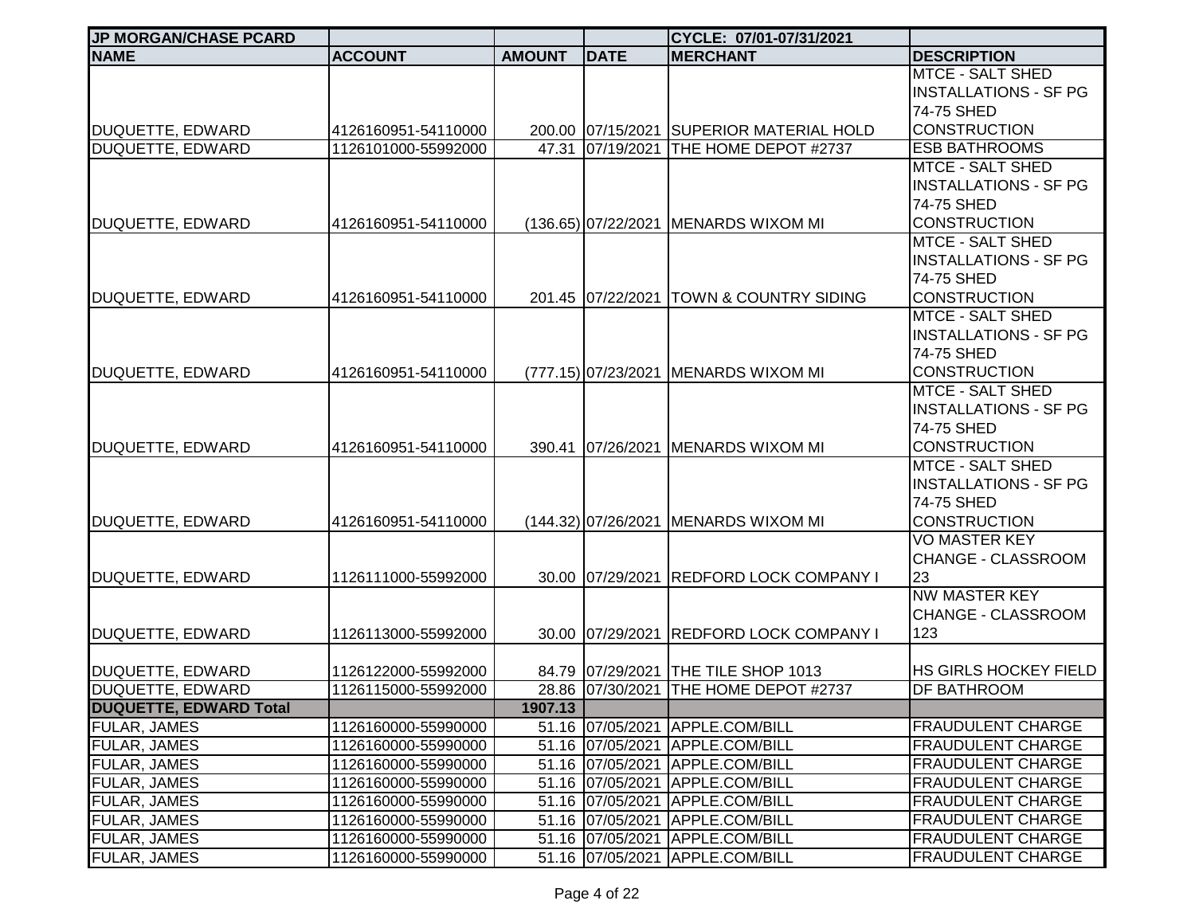| <b>JP MORGAN/CHASE PCARD</b>                |                                            |               |                   | CYCLE: 07/01-07/31/2021                                                     |                                                                                              |
|---------------------------------------------|--------------------------------------------|---------------|-------------------|-----------------------------------------------------------------------------|----------------------------------------------------------------------------------------------|
| <b>NAME</b>                                 | <b>ACCOUNT</b>                             | <b>AMOUNT</b> | <b>DATE</b>       | <b>MERCHANT</b>                                                             | <b>DESCRIPTION</b>                                                                           |
|                                             |                                            |               |                   |                                                                             | <b>MTCE - SALT SHED</b><br><b>INSTALLATIONS - SF PG</b><br>74-75 SHED<br><b>CONSTRUCTION</b> |
| DUQUETTE, EDWARD<br><b>DUQUETTE, EDWARD</b> | 4126160951-54110000<br>1126101000-55992000 | 47.31         |                   | 200.00 07/15/2021 SUPERIOR MATERIAL HOLD<br>07/19/2021 THE HOME DEPOT #2737 | <b>ESB BATHROOMS</b>                                                                         |
|                                             |                                            |               |                   |                                                                             | <b>MTCE - SALT SHED</b><br><b>INSTALLATIONS - SF PG</b><br>74-75 SHED                        |
| DUQUETTE, EDWARD                            | 4126160951-54110000                        |               |                   | (136.65) 07/22/2021 MENARDS WIXOM MI                                        | <b>CONSTRUCTION</b>                                                                          |
| DUQUETTE, EDWARD                            | 4126160951-54110000                        |               | 201.45 07/22/2021 | <b>TOWN &amp; COUNTRY SIDING</b>                                            | <b>MTCE - SALT SHED</b><br><b>INSTALLATIONS - SF PG</b><br>74-75 SHED<br><b>CONSTRUCTION</b> |
|                                             |                                            |               |                   |                                                                             | <b>MTCE - SALT SHED</b><br><b>INSTALLATIONS - SF PG</b><br>74-75 SHED                        |
| DUQUETTE, EDWARD                            | 4126160951-54110000                        |               |                   | (777.15) 07/23/2021 MENARDS WIXOM MI                                        | <b>CONSTRUCTION</b>                                                                          |
| DUQUETTE, EDWARD                            | 4126160951-54110000                        |               | 390.41 07/26/2021 | <b>MENARDS WIXOM MI</b>                                                     | <b>MTCE - SALT SHED</b><br><b>INSTALLATIONS - SF PG</b><br>74-75 SHED<br><b>CONSTRUCTION</b> |
| DUQUETTE, EDWARD                            | 4126160951-54110000                        |               |                   | (144.32) 07/26/2021   MENARDS WIXOM MI                                      | MTCE - SALT SHED<br><b>INSTALLATIONS - SF PG</b><br>74-75 SHED<br><b>CONSTRUCTION</b>        |
| DUQUETTE, EDWARD                            | 1126111000-55992000                        |               |                   | 30.00 07/29/2021 REDFORD LOCK COMPANY I                                     | <b>VO MASTER KEY</b><br>CHANGE - CLASSROOM<br>23                                             |
| DUQUETTE, EDWARD                            | 1126113000-55992000                        |               | 30.00 07/29/2021  | <b>REDFORD LOCK COMPANY I</b>                                               | <b>NW MASTER KEY</b><br>CHANGE - CLASSROOM<br>123                                            |
| DUQUETTE, EDWARD<br><b>DUQUETTE, EDWARD</b> | 1126122000-55992000                        |               |                   | 84.79 07/29/2021 THE TILE SHOP 1013                                         | HS GIRLS HOCKEY FIELD                                                                        |
| <b>DUQUETTE, EDWARD Total</b>               | 1126115000-55992000                        | 1907.13       |                   | 28.86 07/30/2021 THE HOME DEPOT #2737                                       | DF BATHROOM                                                                                  |
| <b>FULAR, JAMES</b>                         | 1126160000-55990000                        |               |                   | 51.16 07/05/2021 APPLE.COM/BILL                                             | <b>FRAUDULENT CHARGE</b>                                                                     |
| <b>FULAR, JAMES</b>                         | 1126160000-55990000                        |               |                   | 51.16 07/05/2021 APPLE.COM/BILL                                             | <b>FRAUDULENT CHARGE</b>                                                                     |
| FULAR, JAMES                                | 1126160000-55990000                        |               | 51.16 07/05/2021  | APPLE.COM/BILL                                                              | <b>FRAUDULENT CHARGE</b>                                                                     |
| FULAR, JAMES                                | 1126160000-55990000                        |               | 51.16 07/05/2021  | APPLE.COM/BILL                                                              | <b>FRAUDULENT CHARGE</b>                                                                     |
| <b>FULAR, JAMES</b>                         | 1126160000-55990000                        |               | 51.16 07/05/2021  | APPLE.COM/BILL                                                              | <b>FRAUDULENT CHARGE</b>                                                                     |
| FULAR, JAMES                                | 1126160000-55990000                        |               | 51.16 07/05/2021  | APPLE.COM/BILL                                                              | <b>FRAUDULENT CHARGE</b>                                                                     |
| FULAR, JAMES                                | 1126160000-55990000                        |               | 51.16 07/05/2021  | APPLE.COM/BILL                                                              | <b>FRAUDULENT CHARGE</b>                                                                     |
| FULAR, JAMES                                | 1126160000-55990000                        |               |                   | 51.16 07/05/2021 APPLE.COM/BILL                                             | <b>FRAUDULENT CHARGE</b>                                                                     |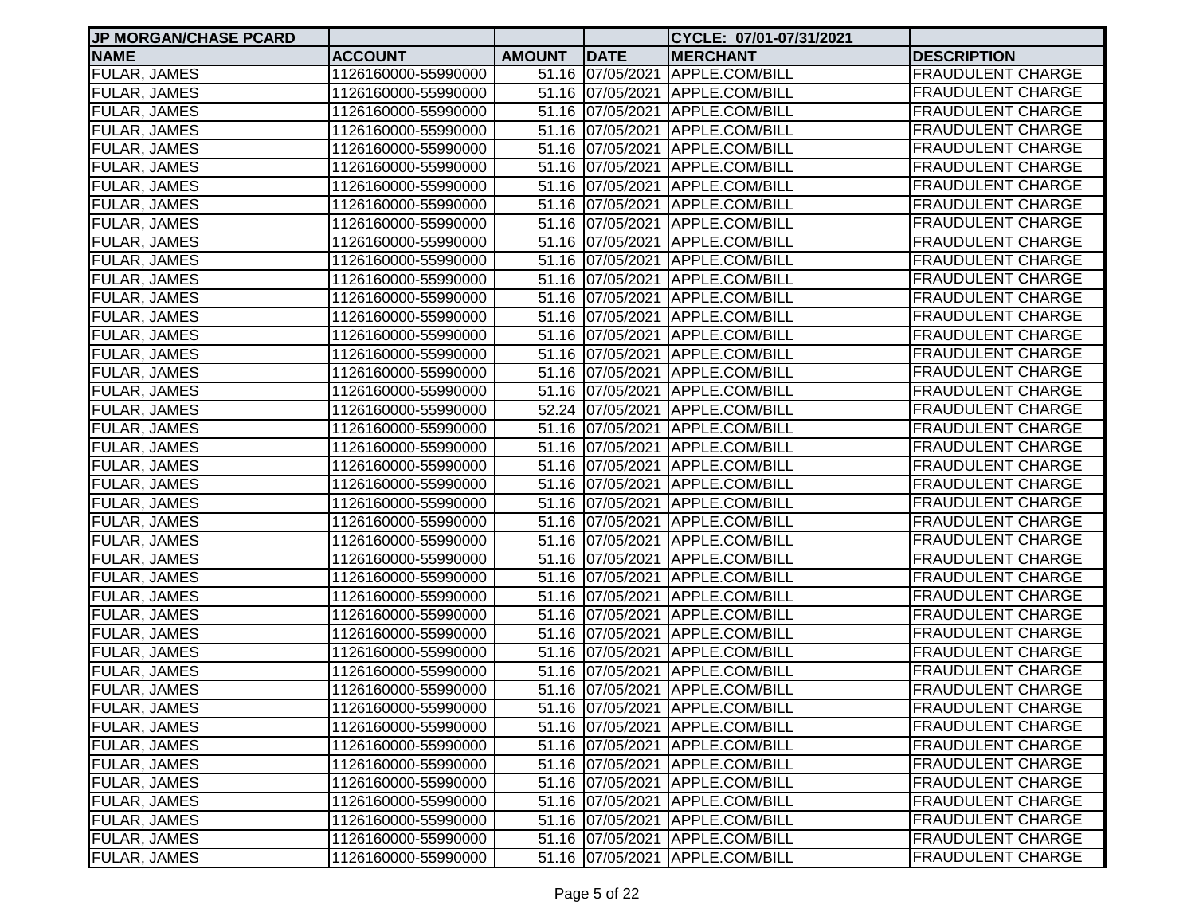| <b>JP MORGAN/CHASE PCARD</b> |                     |               |             | CYCLE: 07/01-07/31/2021         |                          |
|------------------------------|---------------------|---------------|-------------|---------------------------------|--------------------------|
| <b>NAME</b>                  | <b>ACCOUNT</b>      | <b>AMOUNT</b> | <b>DATE</b> | <b>MERCHANT</b>                 | <b>DESCRIPTION</b>       |
| <b>FULAR, JAMES</b>          | 1126160000-55990000 |               |             | 51.16 07/05/2021 APPLE.COM/BILL | <b>FRAUDULENT CHARGE</b> |
| <b>FULAR, JAMES</b>          | 1126160000-55990000 |               |             | 51.16 07/05/2021 APPLE.COM/BILL | <b>FRAUDULENT CHARGE</b> |
| <b>FULAR, JAMES</b>          | 1126160000-55990000 |               |             | 51.16 07/05/2021 APPLE.COM/BILL | <b>FRAUDULENT CHARGE</b> |
| <b>FULAR, JAMES</b>          | 1126160000-55990000 |               |             | 51.16 07/05/2021 APPLE.COM/BILL | <b>FRAUDULENT CHARGE</b> |
| <b>FULAR, JAMES</b>          | 1126160000-55990000 |               |             | 51.16 07/05/2021 APPLE.COM/BILL | <b>FRAUDULENT CHARGE</b> |
| <b>FULAR, JAMES</b>          | 1126160000-55990000 |               |             | 51.16 07/05/2021 APPLE.COM/BILL | <b>FRAUDULENT CHARGE</b> |
| <b>FULAR, JAMES</b>          | 1126160000-55990000 |               |             | 51.16 07/05/2021 APPLE.COM/BILL | <b>FRAUDULENT CHARGE</b> |
| <b>FULAR, JAMES</b>          | 1126160000-55990000 |               |             | 51.16 07/05/2021 APPLE.COM/BILL | <b>FRAUDULENT CHARGE</b> |
| <b>FULAR, JAMES</b>          | 1126160000-55990000 |               |             | 51.16 07/05/2021 APPLE.COM/BILL | <b>FRAUDULENT CHARGE</b> |
| <b>FULAR, JAMES</b>          | 1126160000-55990000 |               |             | 51.16 07/05/2021 APPLE.COM/BILL | <b>FRAUDULENT CHARGE</b> |
| <b>FULAR, JAMES</b>          | 1126160000-55990000 |               |             | 51.16 07/05/2021 APPLE.COM/BILL | <b>FRAUDULENT CHARGE</b> |
| <b>FULAR, JAMES</b>          | 1126160000-55990000 |               |             | 51.16 07/05/2021 APPLE.COM/BILL | <b>FRAUDULENT CHARGE</b> |
| <b>FULAR, JAMES</b>          | 1126160000-55990000 |               |             | 51.16 07/05/2021 APPLE.COM/BILL | <b>FRAUDULENT CHARGE</b> |
| <b>FULAR, JAMES</b>          | 1126160000-55990000 |               |             | 51.16 07/05/2021 APPLE.COM/BILL | <b>FRAUDULENT CHARGE</b> |
| <b>FULAR, JAMES</b>          | 1126160000-55990000 |               |             | 51.16 07/05/2021 APPLE.COM/BILL | <b>FRAUDULENT CHARGE</b> |
| <b>FULAR, JAMES</b>          | 1126160000-55990000 |               |             | 51.16 07/05/2021 APPLE.COM/BILL | <b>FRAUDULENT CHARGE</b> |
| <b>FULAR, JAMES</b>          | 1126160000-55990000 |               |             | 51.16 07/05/2021 APPLE.COM/BILL | <b>FRAUDULENT CHARGE</b> |
| <b>FULAR, JAMES</b>          | 1126160000-55990000 |               |             | 51.16 07/05/2021 APPLE.COM/BILL | <b>FRAUDULENT CHARGE</b> |
| <b>FULAR, JAMES</b>          | 1126160000-55990000 |               |             | 52.24 07/05/2021 APPLE.COM/BILL | <b>FRAUDULENT CHARGE</b> |
| <b>FULAR, JAMES</b>          | 1126160000-55990000 |               |             | 51.16 07/05/2021 APPLE.COM/BILL | <b>FRAUDULENT CHARGE</b> |
| <b>FULAR, JAMES</b>          | 1126160000-55990000 |               |             | 51.16 07/05/2021 APPLE.COM/BILL | <b>FRAUDULENT CHARGE</b> |
| FULAR, JAMES                 | 1126160000-55990000 |               |             | 51.16 07/05/2021 APPLE.COM/BILL | <b>FRAUDULENT CHARGE</b> |
| FULAR, JAMES                 | 1126160000-55990000 |               |             | 51.16 07/05/2021 APPLE.COM/BILL | <b>FRAUDULENT CHARGE</b> |
| <b>FULAR, JAMES</b>          | 1126160000-55990000 |               |             | 51.16 07/05/2021 APPLE.COM/BILL | <b>FRAUDULENT CHARGE</b> |
| <b>FULAR, JAMES</b>          | 1126160000-55990000 |               |             | 51.16 07/05/2021 APPLE.COM/BILL | <b>FRAUDULENT CHARGE</b> |
| <b>FULAR, JAMES</b>          | 1126160000-55990000 |               |             | 51.16 07/05/2021 APPLE.COM/BILL | <b>FRAUDULENT CHARGE</b> |
| <b>FULAR, JAMES</b>          | 1126160000-55990000 |               |             | 51.16 07/05/2021 APPLE.COM/BILL | <b>FRAUDULENT CHARGE</b> |
| <b>FULAR, JAMES</b>          | 1126160000-55990000 |               |             | 51.16 07/05/2021 APPLE.COM/BILL | <b>FRAUDULENT CHARGE</b> |
| <b>FULAR, JAMES</b>          | 1126160000-55990000 |               |             | 51.16 07/05/2021 APPLE.COM/BILL | <b>FRAUDULENT CHARGE</b> |
| <b>FULAR, JAMES</b>          | 1126160000-55990000 |               |             | 51.16 07/05/2021 APPLE.COM/BILL | <b>FRAUDULENT CHARGE</b> |
| <b>FULAR, JAMES</b>          | 1126160000-55990000 |               |             | 51.16 07/05/2021 APPLE.COM/BILL | <b>FRAUDULENT CHARGE</b> |
| <b>FULAR, JAMES</b>          | 1126160000-55990000 |               |             | 51.16 07/05/2021 APPLE.COM/BILL | <b>FRAUDULENT CHARGE</b> |
| <b>FULAR, JAMES</b>          | 1126160000-55990000 |               |             | 51.16 07/05/2021 APPLE.COM/BILL | <b>FRAUDULENT CHARGE</b> |
| <b>FULAR, JAMES</b>          | 1126160000-55990000 |               |             | 51.16 07/05/2021 APPLE.COM/BILL | <b>FRAUDULENT CHARGE</b> |
| <b>FULAR, JAMES</b>          | 1126160000-55990000 |               |             | 51.16 07/05/2021 APPLE.COM/BILL | <b>FRAUDULENT CHARGE</b> |
| <b>FULAR, JAMES</b>          | 1126160000-55990000 |               |             | 51.16 07/05/2021 APPLE.COM/BILL | <b>FRAUDULENT CHARGE</b> |
| FULAR, JAMES                 | 1126160000-55990000 |               |             | 51.16 07/05/2021 APPLE.COM/BILL | <b>FRAUDULENT CHARGE</b> |
| <b>FULAR, JAMES</b>          | 1126160000-55990000 |               |             | 51.16 07/05/2021 APPLE.COM/BILL | <b>FRAUDULENT CHARGE</b> |
| FULAR, JAMES                 | 1126160000-55990000 |               |             | 51.16 07/05/2021 APPLE.COM/BILL | <b>FRAUDULENT CHARGE</b> |
| FULAR, JAMES                 | 1126160000-55990000 |               |             | 51.16 07/05/2021 APPLE.COM/BILL | <b>FRAUDULENT CHARGE</b> |
| <b>FULAR, JAMES</b>          | 1126160000-55990000 |               |             | 51.16 07/05/2021 APPLE.COM/BILL | <b>FRAUDULENT CHARGE</b> |
| <b>FULAR, JAMES</b>          | 1126160000-55990000 |               |             | 51.16 07/05/2021 APPLE.COM/BILL | <b>FRAUDULENT CHARGE</b> |
| <b>FULAR, JAMES</b>          | 1126160000-55990000 |               |             | 51.16 07/05/2021 APPLE.COM/BILL | <b>FRAUDULENT CHARGE</b> |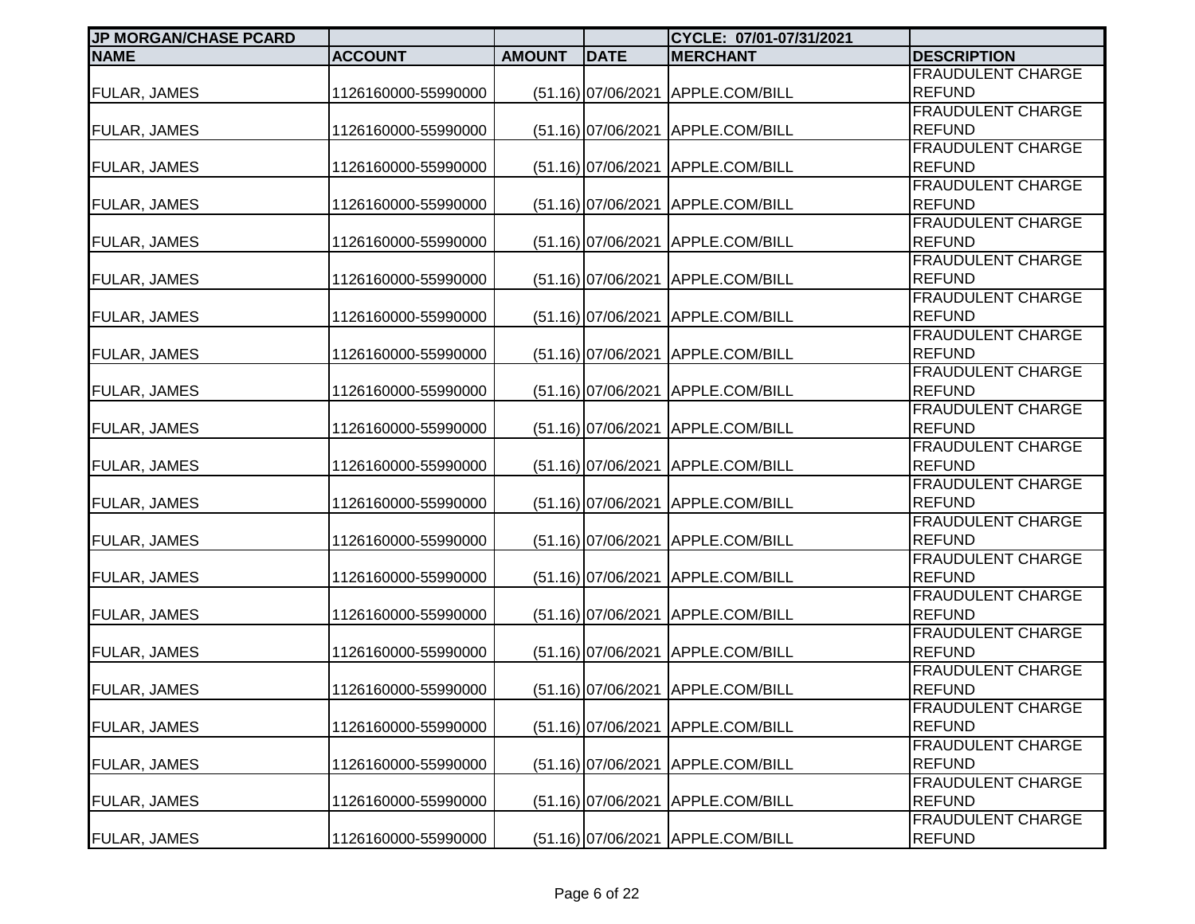| <b>JP MORGAN/CHASE PCARD</b> |                     |               |                      | CYCLE: 07/01-07/31/2021           |                                           |
|------------------------------|---------------------|---------------|----------------------|-----------------------------------|-------------------------------------------|
| <b>NAME</b>                  | <b>ACCOUNT</b>      | <b>AMOUNT</b> | <b>DATE</b>          | <b>MERCHANT</b>                   | <b>DESCRIPTION</b>                        |
|                              |                     |               |                      |                                   | <b>FRAUDULENT CHARGE</b>                  |
| FULAR, JAMES                 | 1126160000-55990000 |               | $(51.16)$ 07/06/2021 | APPLE.COM/BILL                    | <b>REFUND</b>                             |
|                              |                     |               |                      |                                   | <b>FRAUDULENT CHARGE</b>                  |
| <b>FULAR, JAMES</b>          | 1126160000-55990000 |               | $(51.16)$ 07/06/2021 | APPLE.COM/BILL                    | <b>REFUND</b>                             |
|                              |                     |               |                      |                                   | <b>FRAUDULENT CHARGE</b>                  |
| <b>FULAR, JAMES</b>          | 1126160000-55990000 |               | $(51.16)$ 07/06/2021 | APPLE.COM/BILL                    | <b>REFUND</b>                             |
|                              |                     |               |                      |                                   | <b>FRAUDULENT CHARGE</b>                  |
| <b>FULAR, JAMES</b>          | 1126160000-55990000 |               | $(51.16)$ 07/06/2021 | APPLE.COM/BILL                    | <b>REFUND</b>                             |
|                              |                     |               |                      |                                   | <b>FRAUDULENT CHARGE</b>                  |
| FULAR, JAMES                 | 1126160000-55990000 |               | (51.16) 07/06/2021   | APPLE.COM/BILL                    | <b>REFUND</b>                             |
|                              |                     |               |                      |                                   | <b>FRAUDULENT CHARGE</b>                  |
| FULAR, JAMES                 | 1126160000-55990000 |               | $(51.16)$ 07/06/2021 | APPLE.COM/BILL                    | <b>REFUND</b>                             |
|                              |                     |               |                      |                                   | <b>FRAUDULENT CHARGE</b>                  |
| <b>FULAR, JAMES</b>          | 1126160000-55990000 |               | (51.16) 07/06/2021   | APPLE.COM/BILL                    | <b>REFUND</b>                             |
|                              |                     |               |                      |                                   | <b>FRAUDULENT CHARGE</b>                  |
| <b>FULAR, JAMES</b>          | 1126160000-55990000 |               | (51.16) 07/06/2021   | APPLE.COM/BILL                    | <b>REFUND</b>                             |
|                              |                     |               |                      |                                   | <b>FRAUDULENT CHARGE</b>                  |
| FULAR, JAMES                 | 1126160000-55990000 |               | $(51.16)$ 07/06/2021 | APPLE.COM/BILL                    | <b>REFUND</b>                             |
|                              |                     |               |                      |                                   | <b>FRAUDULENT CHARGE</b>                  |
| FULAR, JAMES                 | 1126160000-55990000 |               | (51.16) 07/06/2021   | APPLE.COM/BILL                    | <b>REFUND</b>                             |
|                              |                     |               |                      |                                   | <b>FRAUDULENT CHARGE</b>                  |
| <b>FULAR, JAMES</b>          | 1126160000-55990000 |               | $(51.16)$ 07/06/2021 | APPLE.COM/BILL                    | <b>REFUND</b>                             |
|                              |                     |               |                      |                                   | <b>FRAUDULENT CHARGE</b>                  |
| FULAR, JAMES                 | 1126160000-55990000 |               | $(51.16)$ 07/06/2021 | APPLE.COM/BILL                    | <b>REFUND</b>                             |
|                              |                     |               |                      |                                   | <b>FRAUDULENT CHARGE</b>                  |
| FULAR, JAMES                 | 1126160000-55990000 |               | $(51.16)$ 07/06/2021 | APPLE.COM/BILL                    | <b>REFUND</b><br><b>FRAUDULENT CHARGE</b> |
|                              |                     |               |                      |                                   | <b>REFUND</b>                             |
| FULAR, JAMES                 | 1126160000-55990000 |               | $(51.16)$ 07/06/2021 | APPLE.COM/BILL                    | <b>FRAUDULENT CHARGE</b>                  |
| <b>FULAR, JAMES</b>          | 1126160000-55990000 |               | $(51.16)$ 07/06/2021 | APPLE.COM/BILL                    | <b>REFUND</b>                             |
|                              |                     |               |                      |                                   | <b>FRAUDULENT CHARGE</b>                  |
| <b>FULAR, JAMES</b>          | 1126160000-55990000 |               | $(51.16)$ 07/06/2021 | APPLE.COM/BILL                    | <b>REFUND</b>                             |
|                              |                     |               |                      |                                   | <b>FRAUDULENT CHARGE</b>                  |
| <b>FULAR, JAMES</b>          | 1126160000-55990000 |               |                      | (51.16) 07/06/2021 APPLE.COM/BILL | <b>REFUND</b>                             |
|                              |                     |               |                      |                                   | <b>FRAUDULENT CHARGE</b>                  |
| <b>FULAR, JAMES</b>          | 1126160000-55990000 |               | $(51.16)$ 07/06/2021 | APPLE.COM/BILL                    | <b>REFUND</b>                             |
|                              |                     |               |                      |                                   | <b>FRAUDULENT CHARGE</b>                  |
| <b>FULAR, JAMES</b>          | 1126160000-55990000 |               | (51.16) 07/06/2021   | APPLE.COM/BILL                    | <b>REFUND</b>                             |
|                              |                     |               |                      |                                   | <b>FRAUDULENT CHARGE</b>                  |
| <b>FULAR, JAMES</b>          | 1126160000-55990000 |               | $(51.16)$ 07/06/2021 | APPLE.COM/BILL                    | <b>REFUND</b>                             |
|                              |                     |               |                      |                                   | <b>FRAUDULENT CHARGE</b>                  |
| FULAR, JAMES                 | 1126160000-55990000 |               |                      | (51.16) 07/06/2021 APPLE.COM/BILL | <b>REFUND</b>                             |
|                              |                     |               |                      |                                   |                                           |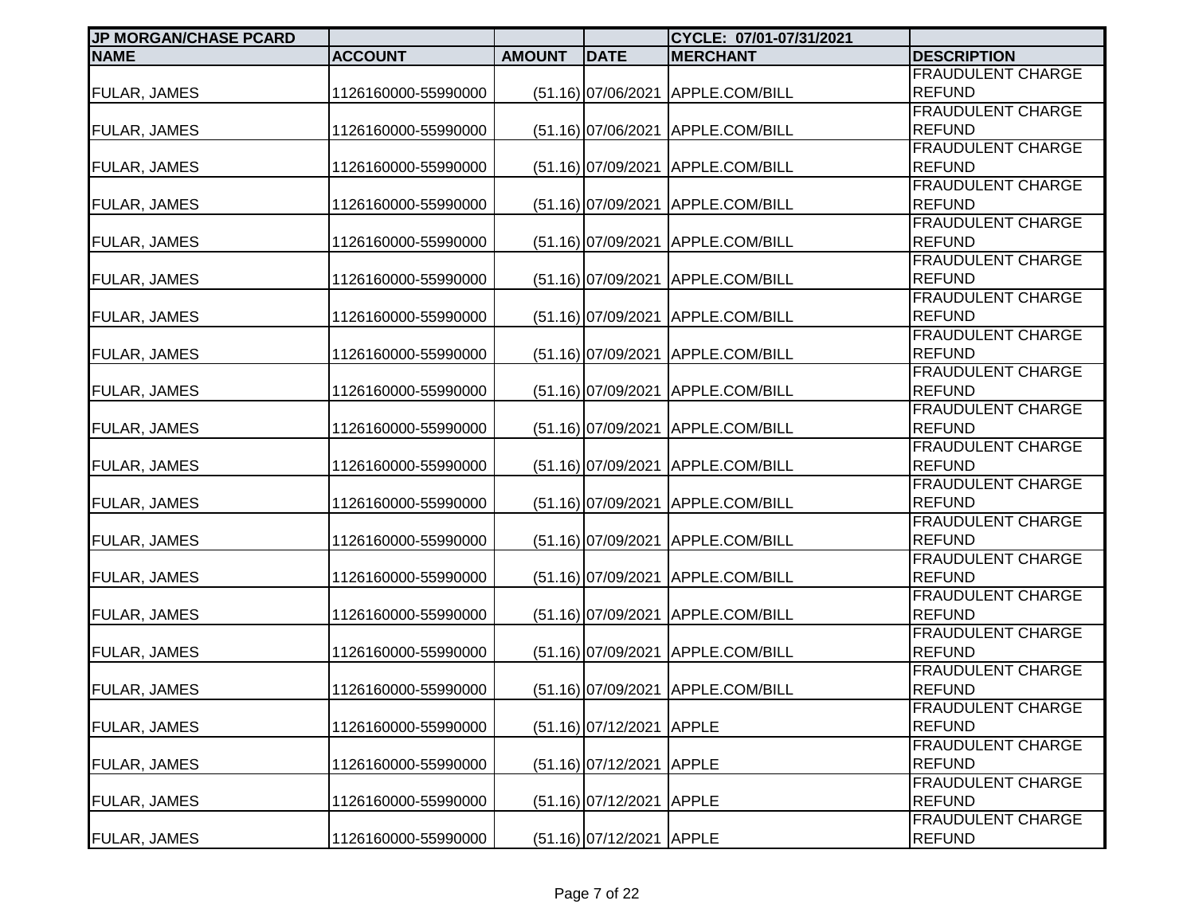| <b>JP MORGAN/CHASE PCARD</b> |                     |               |                          | CYCLE: 07/01-07/31/2021           |                                           |
|------------------------------|---------------------|---------------|--------------------------|-----------------------------------|-------------------------------------------|
| <b>NAME</b>                  | <b>ACCOUNT</b>      | <b>AMOUNT</b> | <b>DATE</b>              | <b>MERCHANT</b>                   | <b>DESCRIPTION</b>                        |
|                              |                     |               |                          |                                   | <b>FRAUDULENT CHARGE</b>                  |
| FULAR, JAMES                 | 1126160000-55990000 |               | $(51.16)$ 07/06/2021     | APPLE.COM/BILL                    | <b>REFUND</b>                             |
|                              |                     |               |                          |                                   | <b>FRAUDULENT CHARGE</b>                  |
| <b>FULAR, JAMES</b>          | 1126160000-55990000 |               | $(51.16)$ 07/06/2021     | APPLE.COM/BILL                    | <b>REFUND</b>                             |
|                              |                     |               |                          |                                   | <b>FRAUDULENT CHARGE</b>                  |
| <b>FULAR, JAMES</b>          | 1126160000-55990000 |               | $(51.16)$ 07/09/2021     | APPLE.COM/BILL                    | <b>REFUND</b>                             |
|                              |                     |               |                          |                                   | <b>FRAUDULENT CHARGE</b>                  |
| <b>FULAR, JAMES</b>          | 1126160000-55990000 |               | $(51.16)$ 07/09/2021     | APPLE.COM/BILL                    | <b>REFUND</b>                             |
|                              |                     |               |                          |                                   | <b>FRAUDULENT CHARGE</b>                  |
| FULAR, JAMES                 | 1126160000-55990000 |               | $(51.16)$ 07/09/2021     | APPLE.COM/BILL                    | <b>REFUND</b>                             |
|                              |                     |               |                          |                                   | <b>FRAUDULENT CHARGE</b>                  |
| FULAR, JAMES                 | 1126160000-55990000 |               | (51.16) 07/09/2021       | APPLE.COM/BILL                    | <b>REFUND</b>                             |
|                              |                     |               |                          |                                   | <b>FRAUDULENT CHARGE</b>                  |
| <b>FULAR, JAMES</b>          | 1126160000-55990000 |               | (51.16) 07/09/2021       | APPLE.COM/BILL                    | <b>REFUND</b>                             |
|                              |                     |               |                          |                                   | <b>FRAUDULENT CHARGE</b>                  |
| <b>FULAR, JAMES</b>          | 1126160000-55990000 |               | (51.16) 07/09/2021       | APPLE.COM/BILL                    | <b>REFUND</b>                             |
|                              |                     |               |                          |                                   | <b>FRAUDULENT CHARGE</b>                  |
| FULAR, JAMES                 | 1126160000-55990000 |               | $(51.16)$ 07/09/2021     | APPLE.COM/BILL                    | <b>REFUND</b>                             |
|                              |                     |               |                          |                                   | <b>FRAUDULENT CHARGE</b>                  |
| FULAR, JAMES                 | 1126160000-55990000 |               | $(51.16)$ 07/09/2021     | APPLE.COM/BILL                    | <b>REFUND</b>                             |
|                              |                     |               |                          |                                   | <b>FRAUDULENT CHARGE</b>                  |
| <b>FULAR, JAMES</b>          | 1126160000-55990000 |               | $(51.16)$ 07/09/2021     | APPLE.COM/BILL                    | <b>REFUND</b>                             |
|                              |                     |               |                          |                                   | <b>FRAUDULENT CHARGE</b><br><b>REFUND</b> |
| FULAR, JAMES                 | 1126160000-55990000 |               | $(51.16)$ 07/09/2021     | APPLE.COM/BILL                    | <b>FRAUDULENT CHARGE</b>                  |
|                              |                     |               |                          |                                   | <b>REFUND</b>                             |
| FULAR, JAMES                 | 1126160000-55990000 |               | $(51.16)$ 07/09/2021     | APPLE.COM/BILL                    | <b>FRAUDULENT CHARGE</b>                  |
| FULAR, JAMES                 | 1126160000-55990000 |               | $(51.16)$ 07/09/2021     | APPLE.COM/BILL                    | <b>REFUND</b>                             |
|                              |                     |               |                          |                                   | <b>FRAUDULENT CHARGE</b>                  |
| <b>FULAR, JAMES</b>          | 1126160000-55990000 |               | $(51.16)$ 07/09/2021     | APPLE.COM/BILL                    | <b>REFUND</b>                             |
|                              |                     |               |                          |                                   | <b>FRAUDULENT CHARGE</b>                  |
| <b>FULAR, JAMES</b>          | 1126160000-55990000 |               | $(51.16)$ 07/09/2021     | APPLE.COM/BILL                    | <b>REFUND</b>                             |
|                              |                     |               |                          |                                   | <b>FRAUDULENT CHARGE</b>                  |
| <b>FULAR, JAMES</b>          | 1126160000-55990000 |               |                          | (51.16) 07/09/2021 APPLE.COM/BILL | <b>REFUND</b>                             |
|                              |                     |               |                          |                                   | <b>FRAUDULENT CHARGE</b>                  |
| <b>FULAR, JAMES</b>          | 1126160000-55990000 |               | $(51.16)$ 07/12/2021     | <b>APPLE</b>                      | <b>REFUND</b>                             |
|                              |                     |               |                          |                                   | <b>FRAUDULENT CHARGE</b>                  |
| <b>FULAR, JAMES</b>          | 1126160000-55990000 |               | $(51.16)$ 07/12/2021     | <b>APPLE</b>                      | <b>REFUND</b>                             |
|                              |                     |               |                          |                                   | <b>FRAUDULENT CHARGE</b>                  |
| <b>FULAR, JAMES</b>          | 1126160000-55990000 |               | $(51.16)$ 07/12/2021     | <b>APPLE</b>                      | <b>REFUND</b>                             |
|                              |                     |               |                          |                                   | <b>FRAUDULENT CHARGE</b>                  |
| FULAR, JAMES                 | 1126160000-55990000 |               | (51.16) 07/12/2021 APPLE |                                   | <b>REFUND</b>                             |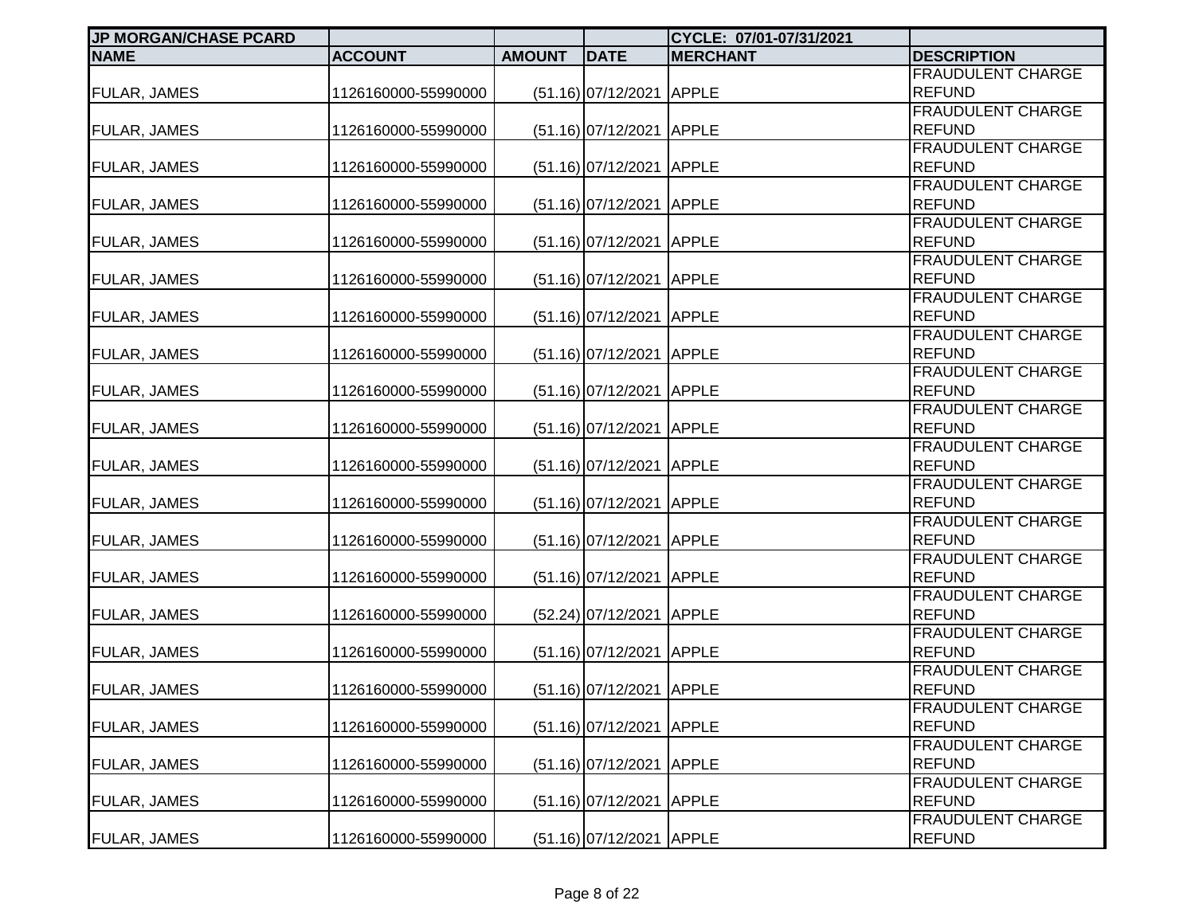| <b>JP MORGAN/CHASE PCARD</b> |                     |               |                          | CYCLE: 07/01-07/31/2021 |                                           |
|------------------------------|---------------------|---------------|--------------------------|-------------------------|-------------------------------------------|
| <b>NAME</b>                  | <b>ACCOUNT</b>      | <b>AMOUNT</b> | <b>DATE</b>              | <b>MERCHANT</b>         | <b>DESCRIPTION</b>                        |
|                              |                     |               |                          |                         | <b>FRAUDULENT CHARGE</b>                  |
| <b>FULAR, JAMES</b>          | 1126160000-55990000 |               | (51.16) 07/12/2021 APPLE |                         | <b>REFUND</b>                             |
|                              |                     |               |                          |                         | <b>FRAUDULENT CHARGE</b>                  |
| <b>FULAR, JAMES</b>          | 1126160000-55990000 |               | (51.16) 07/12/2021 APPLE |                         | <b>REFUND</b>                             |
|                              |                     |               |                          |                         | <b>FRAUDULENT CHARGE</b>                  |
| <b>FULAR, JAMES</b>          | 1126160000-55990000 |               | (51.16) 07/12/2021 APPLE |                         | <b>REFUND</b>                             |
|                              |                     |               |                          |                         | <b>FRAUDULENT CHARGE</b>                  |
| <b>FULAR, JAMES</b>          | 1126160000-55990000 |               | (51.16) 07/12/2021 APPLE |                         | <b>REFUND</b>                             |
|                              |                     |               |                          |                         | FRAUDULENT CHARGE                         |
| FULAR, JAMES                 | 1126160000-55990000 |               | (51.16) 07/12/2021 APPLE |                         | <b>REFUND</b>                             |
|                              |                     |               |                          |                         | <b>FRAUDULENT CHARGE</b>                  |
| <b>FULAR, JAMES</b>          | 1126160000-55990000 |               | $(51.16)$ 07/12/2021     | <b>APPLE</b>            | <b>REFUND</b>                             |
|                              |                     |               |                          |                         | <b>FRAUDULENT CHARGE</b>                  |
| <b>FULAR, JAMES</b>          | 1126160000-55990000 |               | $(51.16)$ 07/12/2021     | <b>APPLE</b>            | <b>REFUND</b><br><b>FRAUDULENT CHARGE</b> |
|                              |                     |               |                          |                         | <b>REFUND</b>                             |
| <b>FULAR, JAMES</b>          | 1126160000-55990000 |               | $(51.16)$ 07/12/2021     | <b>APPLE</b>            | FRAUDULENT CHARGE                         |
| FULAR, JAMES                 | 1126160000-55990000 |               | (51.16) 07/12/2021 APPLE |                         | <b>REFUND</b>                             |
|                              |                     |               |                          |                         | FRAUDULENT CHARGE                         |
| <b>FULAR, JAMES</b>          | 1126160000-55990000 |               | (51.16) 07/12/2021 APPLE |                         | <b>REFUND</b>                             |
|                              |                     |               |                          |                         | FRAUDULENT CHARGE                         |
| <b>FULAR, JAMES</b>          | 1126160000-55990000 |               | (51.16) 07/12/2021 APPLE |                         | <b>REFUND</b>                             |
|                              |                     |               |                          |                         | FRAUDULENT CHARGE                         |
| <b>FULAR, JAMES</b>          | 1126160000-55990000 |               | (51.16) 07/12/2021 APPLE |                         | <b>REFUND</b>                             |
|                              |                     |               |                          |                         | FRAUDULENT CHARGE                         |
| <b>FULAR, JAMES</b>          | 1126160000-55990000 |               | (51.16) 07/12/2021 APPLE |                         | <b>REFUND</b>                             |
|                              |                     |               |                          |                         | <b>FRAUDULENT CHARGE</b>                  |
| <b>FULAR, JAMES</b>          | 1126160000-55990000 |               | (51.16) 07/12/2021 APPLE |                         | <b>REFUND</b>                             |
|                              |                     |               |                          |                         | <b>FRAUDULENT CHARGE</b>                  |
| <b>FULAR, JAMES</b>          | 1126160000-55990000 |               | (52.24) 07/12/2021 APPLE |                         | <b>REFUND</b>                             |
|                              |                     |               |                          |                         | <b>FRAUDULENT CHARGE</b>                  |
| <b>FULAR, JAMES</b>          | 1126160000-55990000 |               | (51.16) 07/12/2021 APPLE |                         | <b>REFUND</b>                             |
|                              |                     |               |                          |                         | FRAUDULENT CHARGE                         |
| <b>FULAR, JAMES</b>          | 1126160000-55990000 |               | (51.16) 07/12/2021 APPLE |                         | <b>REFUND</b>                             |
|                              |                     |               |                          |                         | <b>FRAUDULENT CHARGE</b>                  |
| <b>FULAR, JAMES</b>          | 1126160000-55990000 |               | (51.16) 07/12/2021 APPLE |                         | <b>REFUND</b>                             |
|                              |                     |               |                          |                         | FRAUDULENT CHARGE                         |
| <b>FULAR, JAMES</b>          | 1126160000-55990000 |               | $(51.16)$ 07/12/2021     | <b>APPLE</b>            | <b>REFUND</b>                             |
|                              |                     |               |                          |                         | FRAUDULENT CHARGE                         |
| <b>FULAR, JAMES</b>          | 1126160000-55990000 |               | $(51.16)$ 07/12/2021     | <b>APPLE</b>            | <b>REFUND</b>                             |
|                              |                     |               |                          |                         | FRAUDULENT CHARGE                         |
| FULAR, JAMES                 | 1126160000-55990000 |               | (51.16) 07/12/2021 APPLE |                         | <b>REFUND</b>                             |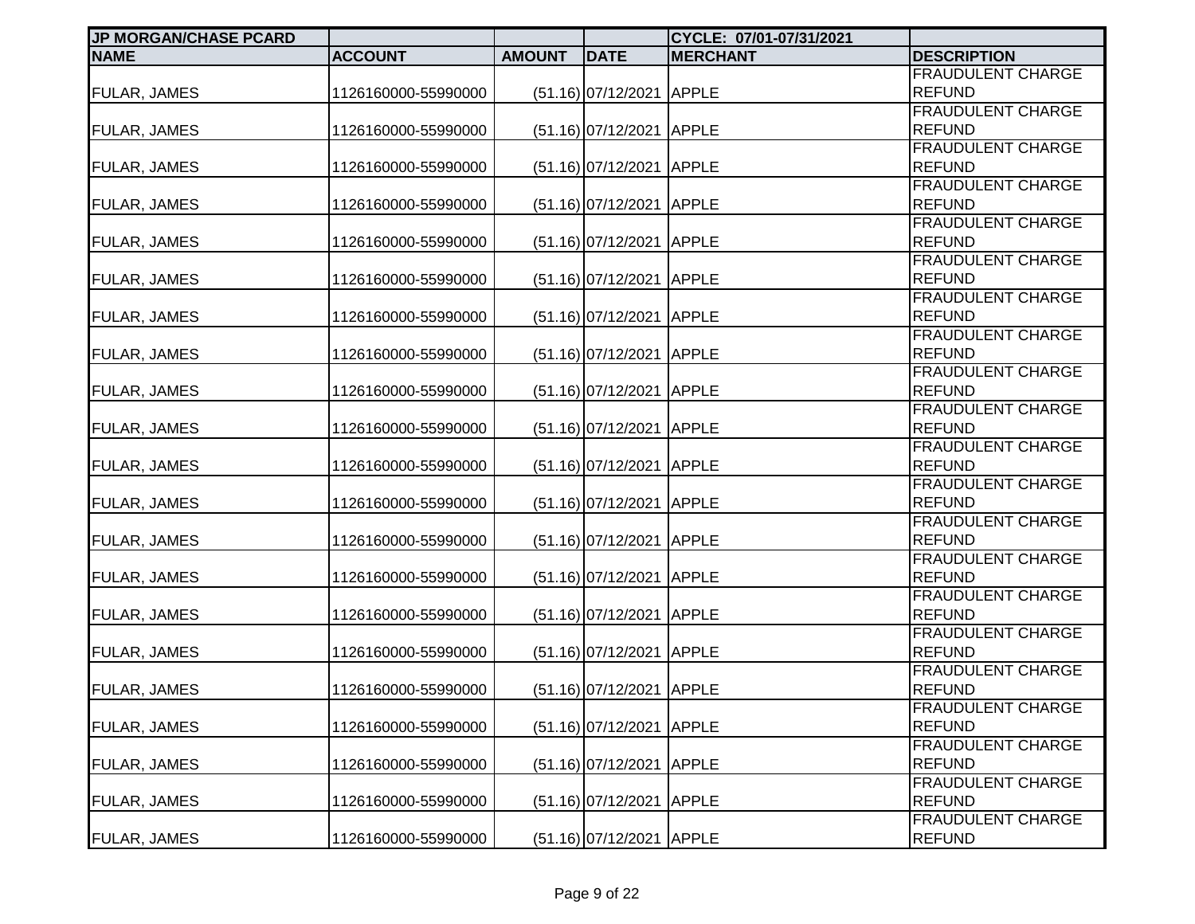| <b>JP MORGAN/CHASE PCARD</b> |                     |               |                          | CYCLE: 07/01-07/31/2021 |                                    |
|------------------------------|---------------------|---------------|--------------------------|-------------------------|------------------------------------|
| <b>NAME</b>                  | <b>ACCOUNT</b>      | <b>AMOUNT</b> | <b>DATE</b>              | <b>MERCHANT</b>         | <b>DESCRIPTION</b>                 |
|                              |                     |               |                          |                         | <b>FRAUDULENT CHARGE</b>           |
| <b>FULAR, JAMES</b>          | 1126160000-55990000 |               | (51.16) 07/12/2021 APPLE |                         | <b>REFUND</b>                      |
|                              |                     |               |                          |                         | <b>FRAUDULENT CHARGE</b>           |
| <b>FULAR, JAMES</b>          | 1126160000-55990000 |               | (51.16) 07/12/2021 APPLE |                         | <b>REFUND</b>                      |
|                              |                     |               |                          |                         | <b>FRAUDULENT CHARGE</b>           |
| <b>FULAR, JAMES</b>          | 1126160000-55990000 |               | (51.16) 07/12/2021 APPLE |                         | <b>REFUND</b>                      |
|                              |                     |               |                          |                         | <b>FRAUDULENT CHARGE</b>           |
| <b>FULAR, JAMES</b>          | 1126160000-55990000 |               | (51.16) 07/12/2021 APPLE |                         | <b>REFUND</b>                      |
|                              |                     |               |                          |                         | FRAUDULENT CHARGE                  |
| <b>FULAR, JAMES</b>          | 1126160000-55990000 |               | (51.16) 07/12/2021 APPLE |                         | <b>REFUND</b>                      |
|                              |                     |               |                          |                         | <b>FRAUDULENT CHARGE</b>           |
| <b>FULAR, JAMES</b>          | 1126160000-55990000 |               | $(51.16)$ 07/12/2021     | <b>APPLE</b>            | <b>REFUND</b>                      |
|                              |                     |               |                          |                         | <b>FRAUDULENT CHARGE</b>           |
| <b>FULAR, JAMES</b>          | 1126160000-55990000 |               | $(51.16)$ 07/12/2021     | <b>APPLE</b>            | <b>REFUND</b>                      |
|                              |                     |               |                          |                         | <b>FRAUDULENT CHARGE</b>           |
| <b>FULAR, JAMES</b>          | 1126160000-55990000 |               | $(51.16)$ 07/12/2021     | <b>APPLE</b>            | <b>REFUND</b><br>FRAUDULENT CHARGE |
|                              |                     |               |                          |                         | <b>REFUND</b>                      |
| FULAR, JAMES                 | 1126160000-55990000 |               | (51.16) 07/12/2021 APPLE |                         | FRAUDULENT CHARGE                  |
| <b>FULAR, JAMES</b>          | 1126160000-55990000 |               | (51.16) 07/12/2021 APPLE |                         | <b>REFUND</b>                      |
|                              |                     |               |                          |                         | FRAUDULENT CHARGE                  |
| <b>FULAR, JAMES</b>          | 1126160000-55990000 |               | (51.16) 07/12/2021 APPLE |                         | <b>REFUND</b>                      |
|                              |                     |               |                          |                         | FRAUDULENT CHARGE                  |
| <b>FULAR, JAMES</b>          | 1126160000-55990000 |               | (51.16) 07/12/2021 APPLE |                         | <b>REFUND</b>                      |
|                              |                     |               |                          |                         | FRAUDULENT CHARGE                  |
| <b>FULAR, JAMES</b>          | 1126160000-55990000 |               | (51.16) 07/12/2021 APPLE |                         | <b>REFUND</b>                      |
|                              |                     |               |                          |                         | <b>FRAUDULENT CHARGE</b>           |
| <b>FULAR, JAMES</b>          | 1126160000-55990000 |               | (51.16) 07/12/2021 APPLE |                         | <b>REFUND</b>                      |
|                              |                     |               |                          |                         | <b>FRAUDULENT CHARGE</b>           |
| <b>FULAR, JAMES</b>          | 1126160000-55990000 |               | (51.16) 07/12/2021 APPLE |                         | <b>REFUND</b>                      |
|                              |                     |               |                          |                         | <b>FRAUDULENT CHARGE</b>           |
| <b>FULAR, JAMES</b>          | 1126160000-55990000 |               | (51.16) 07/12/2021 APPLE |                         | <b>REFUND</b>                      |
|                              |                     |               |                          |                         | FRAUDULENT CHARGE                  |
| <b>FULAR, JAMES</b>          | 1126160000-55990000 |               | (51.16) 07/12/2021 APPLE |                         | <b>REFUND</b>                      |
|                              |                     |               |                          |                         | <b>FRAUDULENT CHARGE</b>           |
| <b>FULAR, JAMES</b>          | 1126160000-55990000 |               | (51.16) 07/12/2021 APPLE |                         | <b>REFUND</b>                      |
|                              |                     |               |                          |                         | FRAUDULENT CHARGE                  |
| <b>FULAR, JAMES</b>          | 1126160000-55990000 |               | $(51.16)$ 07/12/2021     | <b>APPLE</b>            | <b>REFUND</b>                      |
|                              |                     |               |                          |                         | FRAUDULENT CHARGE                  |
| <b>FULAR, JAMES</b>          | 1126160000-55990000 |               | $(51.16)$ 07/12/2021     | <b>APPLE</b>            | <b>REFUND</b>                      |
|                              |                     |               |                          |                         | FRAUDULENT CHARGE                  |
| <b>FULAR, JAMES</b>          | 1126160000-55990000 |               | (51.16) 07/12/2021 APPLE |                         | <b>REFUND</b>                      |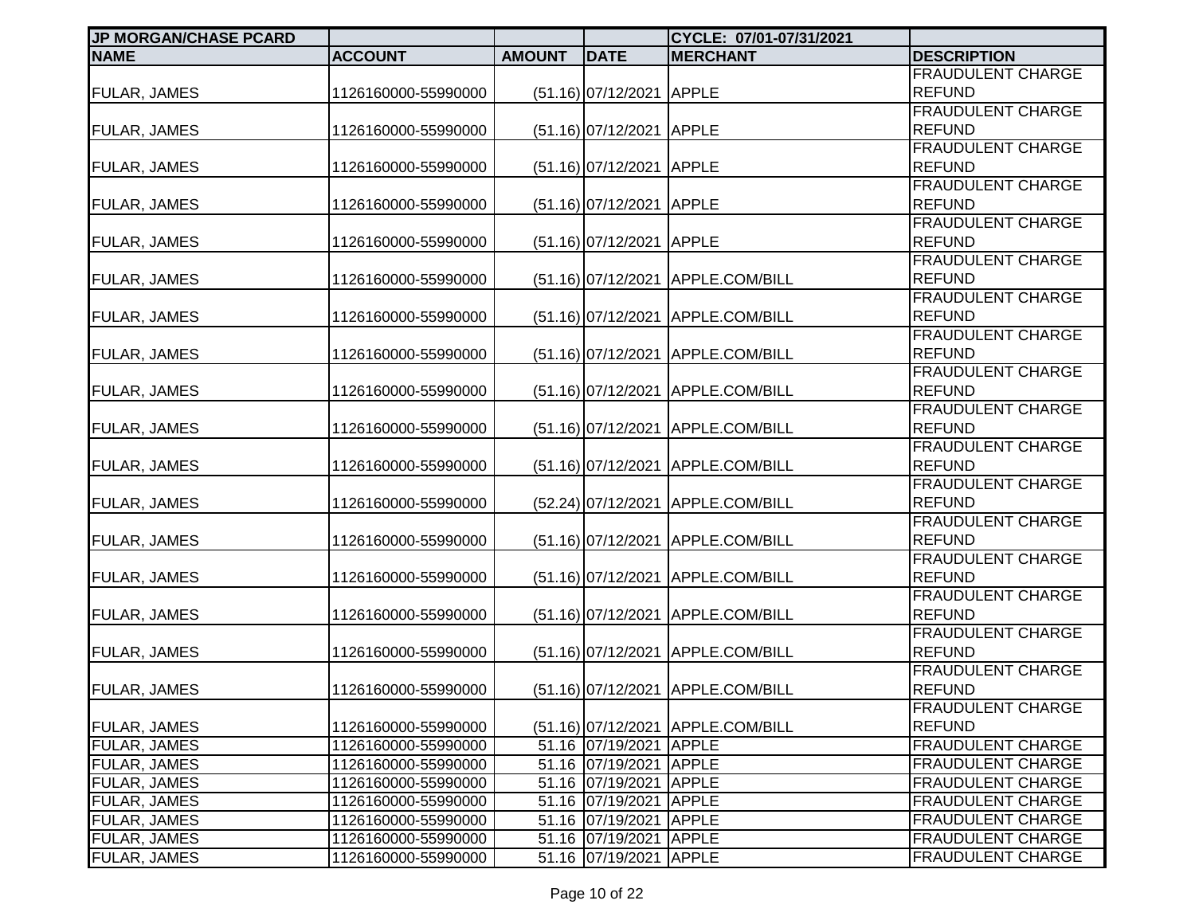| <b>JP MORGAN/CHASE PCARD</b> |                     |               |                          | CYCLE: 07/01-07/31/2021           |                                           |
|------------------------------|---------------------|---------------|--------------------------|-----------------------------------|-------------------------------------------|
| <b>NAME</b>                  | <b>ACCOUNT</b>      | <b>AMOUNT</b> | <b>DATE</b>              | <b>MERCHANT</b>                   | <b>DESCRIPTION</b>                        |
|                              |                     |               |                          |                                   | <b>FRAUDULENT CHARGE</b>                  |
| <b>FULAR, JAMES</b>          | 1126160000-55990000 |               | (51.16) 07/12/2021 APPLE |                                   | <b>REFUND</b>                             |
|                              |                     |               |                          |                                   | <b>FRAUDULENT CHARGE</b>                  |
| <b>FULAR, JAMES</b>          | 1126160000-55990000 |               | $(51.16)$ 07/12/2021     | <b>APPLE</b>                      | <b>REFUND</b>                             |
|                              |                     |               |                          |                                   | <b>FRAUDULENT CHARGE</b>                  |
| <b>FULAR, JAMES</b>          | 1126160000-55990000 |               | (51.16) 07/12/2021 APPLE |                                   | <b>REFUND</b>                             |
|                              |                     |               |                          |                                   | <b>FRAUDULENT CHARGE</b>                  |
| <b>FULAR, JAMES</b>          | 1126160000-55990000 |               | $(51.16)$ 07/12/2021     | <b>APPLE</b>                      | <b>REFUND</b>                             |
|                              |                     |               |                          |                                   | <b>FRAUDULENT CHARGE</b>                  |
| FULAR, JAMES                 | 1126160000-55990000 |               | (51.16) 07/12/2021 APPLE |                                   | <b>REFUND</b>                             |
|                              |                     |               |                          |                                   | <b>FRAUDULENT CHARGE</b>                  |
| <b>FULAR, JAMES</b>          | 1126160000-55990000 |               | $(51.16)$ 07/12/2021     | APPLE.COM/BILL                    | <b>REFUND</b>                             |
|                              |                     |               |                          |                                   | <b>FRAUDULENT CHARGE</b>                  |
| <b>FULAR, JAMES</b>          | 1126160000-55990000 |               | $(51.16)$ 07/12/2021     | APPLE.COM/BILL                    | <b>REFUND</b>                             |
|                              |                     |               |                          |                                   | <b>FRAUDULENT CHARGE</b>                  |
| <b>FULAR, JAMES</b>          | 1126160000-55990000 |               | $(51.16)$ 07/12/2021     | APPLE.COM/BILL                    | <b>REFUND</b>                             |
|                              |                     |               |                          |                                   | FRAUDULENT CHARGE                         |
| FULAR, JAMES                 | 1126160000-55990000 |               | $(51.16)$ 07/12/2021     | APPLE.COM/BILL                    | <b>REFUND</b>                             |
|                              |                     |               |                          |                                   | <b>FRAUDULENT CHARGE</b><br><b>REFUND</b> |
| <b>FULAR, JAMES</b>          | 1126160000-55990000 |               | $(51.16)$ 07/12/2021     | APPLE.COM/BILL                    |                                           |
|                              |                     |               |                          |                                   | FRAUDULENT CHARGE<br><b>REFUND</b>        |
| <b>FULAR, JAMES</b>          | 1126160000-55990000 |               |                          | (51.16) 07/12/2021 APPLE.COM/BILL | <b>FRAUDULENT CHARGE</b>                  |
|                              | 1126160000-55990000 |               |                          | APPLE.COM/BILL                    | <b>REFUND</b>                             |
| <b>FULAR, JAMES</b>          |                     |               | $(52.24)$ 07/12/2021     |                                   | FRAUDULENT CHARGE                         |
| FULAR, JAMES                 | 1126160000-55990000 |               |                          | (51.16) 07/12/2021 APPLE.COM/BILL | <b>REFUND</b>                             |
|                              |                     |               |                          |                                   | <b>FRAUDULENT CHARGE</b>                  |
| <b>FULAR, JAMES</b>          | 1126160000-55990000 |               | $(51.16)$ 07/12/2021     | APPLE.COM/BILL                    | <b>REFUND</b>                             |
|                              |                     |               |                          |                                   | <b>FRAUDULENT CHARGE</b>                  |
| <b>FULAR, JAMES</b>          | 1126160000-55990000 |               |                          | (51.16) 07/12/2021 APPLE.COM/BILL | <b>REFUND</b>                             |
|                              |                     |               |                          |                                   | <b>FRAUDULENT CHARGE</b>                  |
| <b>FULAR, JAMES</b>          | 1126160000-55990000 |               |                          | (51.16) 07/12/2021 APPLE.COM/BILL | <b>REFUND</b>                             |
|                              |                     |               |                          |                                   | FRAUDULENT CHARGE                         |
| <b>FULAR, JAMES</b>          | 1126160000-55990000 |               |                          | (51.16) 07/12/2021 APPLE.COM/BILL | <b>REFUND</b>                             |
|                              |                     |               |                          |                                   | <b>FRAUDULENT CHARGE</b>                  |
| <b>FULAR, JAMES</b>          | 1126160000-55990000 |               |                          | (51.16) 07/12/2021 APPLE.COM/BILL | <b>REFUND</b>                             |
| <b>FULAR, JAMES</b>          | 1126160000-55990000 |               | 51.16 07/19/2021         | <b>APPLE</b>                      | <b>FRAUDULENT CHARGE</b>                  |
| <b>FULAR, JAMES</b>          | 1126160000-55990000 |               | 51.16 07/19/2021         | <b>APPLE</b>                      | <b>FRAUDULENT CHARGE</b>                  |
| FULAR, JAMES                 | 1126160000-55990000 |               | 51.16 07/19/2021 APPLE   |                                   | <b>FRAUDULENT CHARGE</b>                  |
| <b>FULAR, JAMES</b>          | 1126160000-55990000 |               | 51.16 07/19/2021 APPLE   |                                   | <b>FRAUDULENT CHARGE</b>                  |
| <b>FULAR, JAMES</b>          | 1126160000-55990000 |               | 51.16 07/19/2021 APPLE   |                                   | <b>FRAUDULENT CHARGE</b>                  |
| FULAR, JAMES                 | 1126160000-55990000 |               | 51.16 07/19/2021         | <b>APPLE</b>                      | <b>FRAUDULENT CHARGE</b>                  |
| FULAR, JAMES                 | 1126160000-55990000 |               | 51.16 07/19/2021 APPLE   |                                   | <b>FRAUDULENT CHARGE</b>                  |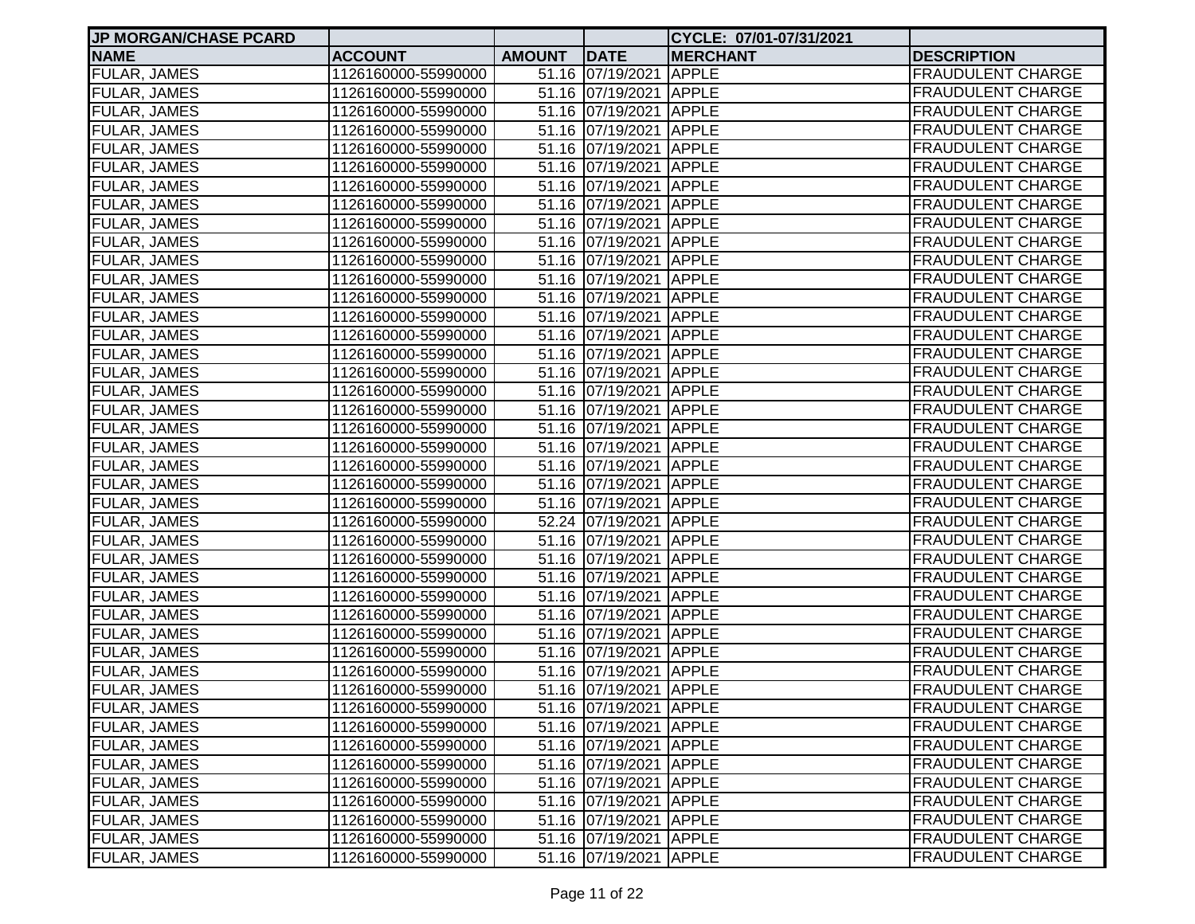| <b>JP MORGAN/CHASE PCARD</b> |                     |               |                        | CYCLE: 07/01-07/31/2021 |                          |
|------------------------------|---------------------|---------------|------------------------|-------------------------|--------------------------|
| <b>NAME</b>                  | <b>ACCOUNT</b>      | <b>AMOUNT</b> | <b>DATE</b>            | <b>MERCHANT</b>         | <b>DESCRIPTION</b>       |
| <b>FULAR, JAMES</b>          | 1126160000-55990000 |               | 51.16 07/19/2021 APPLE |                         | <b>FRAUDULENT CHARGE</b> |
| <b>FULAR, JAMES</b>          | 1126160000-55990000 |               | 51.16 07/19/2021 APPLE |                         | <b>FRAUDULENT CHARGE</b> |
| <b>FULAR, JAMES</b>          | 1126160000-55990000 |               | 51.16 07/19/2021 APPLE |                         | <b>FRAUDULENT CHARGE</b> |
| <b>FULAR, JAMES</b>          | 1126160000-55990000 |               | 51.16 07/19/2021 APPLE |                         | <b>FRAUDULENT CHARGE</b> |
| <b>FULAR, JAMES</b>          | 1126160000-55990000 |               | 51.16 07/19/2021 APPLE |                         | <b>FRAUDULENT CHARGE</b> |
| FULAR, JAMES                 | 1126160000-55990000 |               | 51.16 07/19/2021 APPLE |                         | <b>FRAUDULENT CHARGE</b> |
| FULAR, JAMES                 | 1126160000-55990000 |               | 51.16 07/19/2021 APPLE |                         | <b>FRAUDULENT CHARGE</b> |
| FULAR, JAMES                 | 1126160000-55990000 |               | 51.16 07/19/2021 APPLE |                         | <b>FRAUDULENT CHARGE</b> |
| FULAR, JAMES                 | 1126160000-55990000 |               | 51.16 07/19/2021 APPLE |                         | <b>FRAUDULENT CHARGE</b> |
| FULAR, JAMES                 | 1126160000-55990000 |               | 51.16 07/19/2021 APPLE |                         | <b>FRAUDULENT CHARGE</b> |
| FULAR, JAMES                 | 1126160000-55990000 |               | 51.16 07/19/2021 APPLE |                         | <b>FRAUDULENT CHARGE</b> |
| <b>FULAR, JAMES</b>          | 1126160000-55990000 |               | 51.16 07/19/2021 APPLE |                         | <b>FRAUDULENT CHARGE</b> |
| FULAR, JAMES                 | 1126160000-55990000 |               | 51.16 07/19/2021 APPLE |                         | <b>FRAUDULENT CHARGE</b> |
| <b>FULAR, JAMES</b>          | 1126160000-55990000 |               | 51.16 07/19/2021 APPLE |                         | <b>FRAUDULENT CHARGE</b> |
| <b>FULAR, JAMES</b>          | 1126160000-55990000 |               | 51.16 07/19/2021 APPLE |                         | <b>FRAUDULENT CHARGE</b> |
| <b>FULAR, JAMES</b>          | 1126160000-55990000 |               | 51.16 07/19/2021 APPLE |                         | <b>FRAUDULENT CHARGE</b> |
| <b>FULAR, JAMES</b>          | 1126160000-55990000 |               | 51.16 07/19/2021 APPLE |                         | <b>FRAUDULENT CHARGE</b> |
| <b>FULAR, JAMES</b>          | 1126160000-55990000 |               | 51.16 07/19/2021 APPLE |                         | <b>FRAUDULENT CHARGE</b> |
| <b>FULAR, JAMES</b>          | 1126160000-55990000 |               | 51.16 07/19/2021 APPLE |                         | <b>FRAUDULENT CHARGE</b> |
| <b>FULAR, JAMES</b>          | 1126160000-55990000 |               | 51.16 07/19/2021 APPLE |                         | <b>FRAUDULENT CHARGE</b> |
| FULAR, JAMES                 | 1126160000-55990000 |               | 51.16 07/19/2021 APPLE |                         | <b>FRAUDULENT CHARGE</b> |
| FULAR, JAMES                 | 1126160000-55990000 |               | 51.16 07/19/2021 APPLE |                         | <b>FRAUDULENT CHARGE</b> |
| FULAR, JAMES                 | 1126160000-55990000 |               | 51.16 07/19/2021 APPLE |                         | <b>FRAUDULENT CHARGE</b> |
| FULAR, JAMES                 | 1126160000-55990000 |               | 51.16 07/19/2021 APPLE |                         | <b>FRAUDULENT CHARGE</b> |
| FULAR, JAMES                 | 1126160000-55990000 |               | 52.24 07/19/2021 APPLE |                         | <b>FRAUDULENT CHARGE</b> |
| FULAR, JAMES                 | 1126160000-55990000 |               | 51.16 07/19/2021 APPLE |                         | <b>FRAUDULENT CHARGE</b> |
| FULAR, JAMES                 | 1126160000-55990000 |               | 51.16 07/19/2021 APPLE |                         | <b>FRAUDULENT CHARGE</b> |
| FULAR, JAMES                 | 1126160000-55990000 |               | 51.16 07/19/2021 APPLE |                         | <b>FRAUDULENT CHARGE</b> |
| FULAR, JAMES                 | 1126160000-55990000 |               | 51.16 07/19/2021 APPLE |                         | <b>FRAUDULENT CHARGE</b> |
| <b>FULAR, JAMES</b>          | 1126160000-55990000 |               | 51.16 07/19/2021 APPLE |                         | <b>FRAUDULENT CHARGE</b> |
| <b>FULAR, JAMES</b>          | 1126160000-55990000 |               | 51.16 07/19/2021 APPLE |                         | <b>FRAUDULENT CHARGE</b> |
| <b>FULAR, JAMES</b>          | 1126160000-55990000 |               | 51.16 07/19/2021 APPLE |                         | <b>FRAUDULENT CHARGE</b> |
| <b>FULAR, JAMES</b>          | 1126160000-55990000 |               | 51.16 07/19/2021 APPLE |                         | <b>FRAUDULENT CHARGE</b> |
| <b>FULAR, JAMES</b>          | 1126160000-55990000 |               | 51.16 07/19/2021 APPLE |                         | <b>FRAUDULENT CHARGE</b> |
| <b>FULAR, JAMES</b>          | 1126160000-55990000 |               | 51.16 07/19/2021 APPLE |                         | <b>FRAUDULENT CHARGE</b> |
| FULAR, JAMES                 | 1126160000-55990000 |               | 51.16 07/19/2021 APPLE |                         | <b>FRAUDULENT CHARGE</b> |
| FULAR, JAMES                 | 1126160000-55990000 |               | 51.16 07/19/2021 APPLE |                         | <b>FRAUDULENT CHARGE</b> |
| FULAR, JAMES                 | 1126160000-55990000 |               | 51.16 07/19/2021 APPLE |                         | <b>FRAUDULENT CHARGE</b> |
| FULAR, JAMES                 | 1126160000-55990000 |               | 51.16 07/19/2021 APPLE |                         | <b>FRAUDULENT CHARGE</b> |
| FULAR, JAMES                 | 1126160000-55990000 |               | 51.16 07/19/2021 APPLE |                         | <b>FRAUDULENT CHARGE</b> |
| FULAR, JAMES                 | 1126160000-55990000 |               | 51.16 07/19/2021 APPLE |                         | <b>FRAUDULENT CHARGE</b> |
| FULAR, JAMES                 | 1126160000-55990000 |               | 51.16 07/19/2021 APPLE |                         | <b>FRAUDULENT CHARGE</b> |
| FULAR, JAMES                 | 1126160000-55990000 |               | 51.16 07/19/2021 APPLE |                         | <b>FRAUDULENT CHARGE</b> |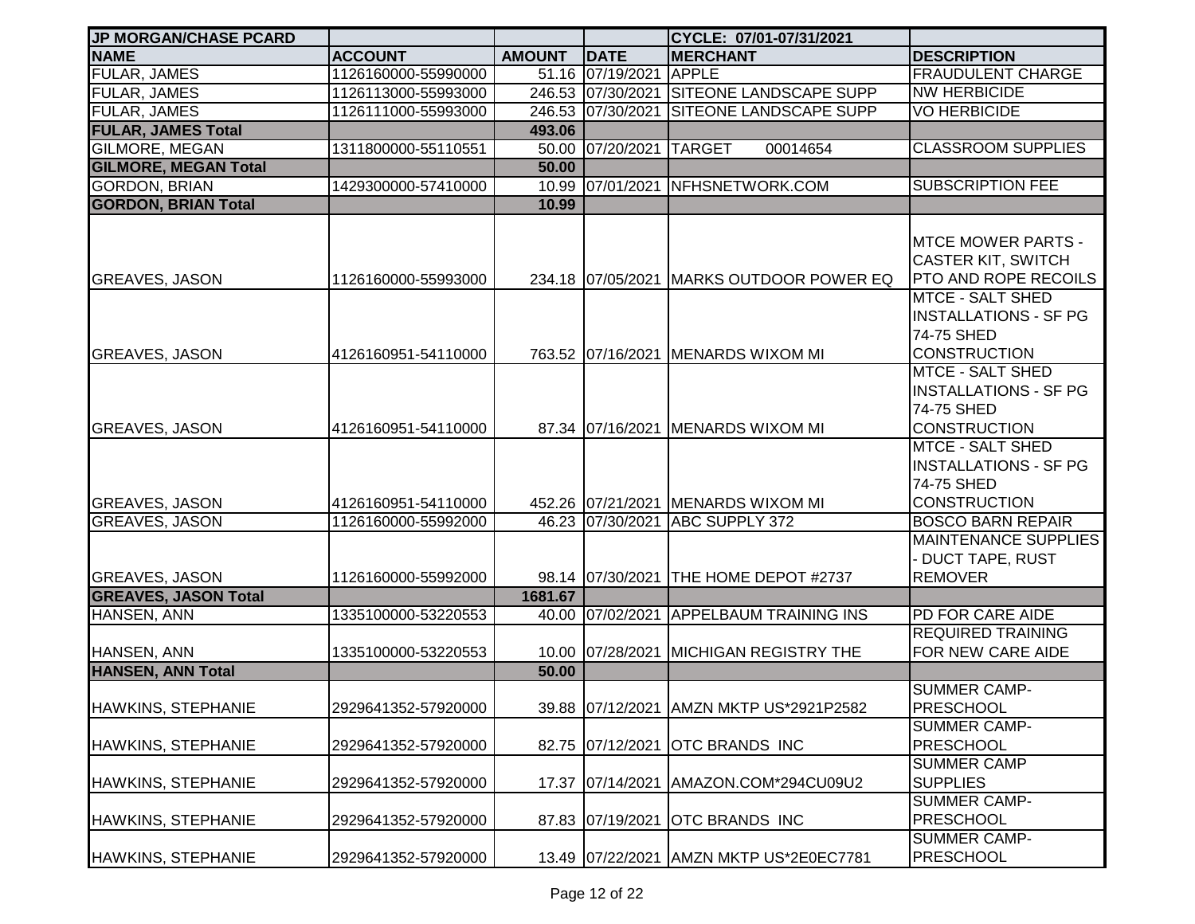| <b>JP MORGAN/CHASE PCARD</b> |                     |               |                         | CYCLE: 07/01-07/31/2021                  |                                                                                              |
|------------------------------|---------------------|---------------|-------------------------|------------------------------------------|----------------------------------------------------------------------------------------------|
| <b>NAME</b>                  | <b>ACCOUNT</b>      | <b>AMOUNT</b> | DATE                    | <b>MERCHANT</b>                          | <b>DESCRIPTION</b>                                                                           |
| <b>FULAR, JAMES</b>          | 1126160000-55990000 |               | 51.16 07/19/2021        | <b>APPLE</b>                             | <b>FRAUDULENT CHARGE</b>                                                                     |
| <b>FULAR, JAMES</b>          | 1126113000-55993000 |               | 246.53 07/30/2021       | <b>SITEONE LANDSCAPE SUPP</b>            | <b>NW HERBICIDE</b>                                                                          |
| <b>FULAR, JAMES</b>          | 1126111000-55993000 |               | 246.53 07/30/2021       | <b>SITEONE LANDSCAPE SUPP</b>            | <b>VO HERBICIDE</b>                                                                          |
| <b>FULAR, JAMES Total</b>    |                     | 493.06        |                         |                                          |                                                                                              |
| <b>GILMORE, MEGAN</b>        | 1311800000-55110551 |               | 50.00 07/20/2021 TARGET | 00014654                                 | <b>CLASSROOM SUPPLIES</b>                                                                    |
| <b>GILMORE, MEGAN Total</b>  |                     | 50.00         |                         |                                          |                                                                                              |
| <b>GORDON, BRIAN</b>         | 1429300000-57410000 |               |                         | 10.99 07/01/2021 NFHSNETWORK.COM         | <b>SUBSCRIPTION FEE</b>                                                                      |
| <b>GORDON, BRIAN Total</b>   |                     | 10.99         |                         |                                          |                                                                                              |
| <b>GREAVES, JASON</b>        | 1126160000-55993000 |               |                         | 234.18 07/05/2021 MARKS OUTDOOR POWER EQ | <b>MTCE MOWER PARTS -</b><br><b>CASTER KIT, SWITCH</b><br><b>PTO AND ROPE RECOILS</b>        |
| <b>GREAVES, JASON</b>        | 4126160951-54110000 |               |                         | 763.52 07/16/2021 MENARDS WIXOM MI       | <b>MTCE - SALT SHED</b><br><b>INSTALLATIONS - SF PG</b><br>74-75 SHED<br><b>CONSTRUCTION</b> |
| <b>GREAVES, JASON</b>        | 4126160951-54110000 |               |                         | 87.34 07/16/2021 MENARDS WIXOM MI        | <b>MTCE - SALT SHED</b><br><b>INSTALLATIONS - SF PG</b><br>74-75 SHED<br><b>CONSTRUCTION</b> |
| <b>GREAVES, JASON</b>        | 4126160951-54110000 |               |                         | 452.26 07/21/2021 MENARDS WIXOM MI       | <b>MTCE - SALT SHED</b><br><b>INSTALLATIONS - SF PG</b><br>74-75 SHED<br><b>CONSTRUCTION</b> |
| <b>GREAVES, JASON</b>        | 1126160000-55992000 |               |                         | 46.23 07/30/2021 ABC SUPPLY 372          | <b>BOSCO BARN REPAIR</b>                                                                     |
| <b>GREAVES, JASON</b>        | 1126160000-55992000 |               |                         | 98.14 07/30/2021 THE HOME DEPOT #2737    | <b>MAINTENANCE SUPPLIES</b><br><b>DUCT TAPE, RUST</b><br><b>REMOVER</b>                      |
| <b>GREAVES, JASON Total</b>  |                     | 1681.67       |                         |                                          |                                                                                              |
| <b>HANSEN, ANN</b>           | 1335100000-53220553 |               |                         | 40.00 07/02/2021 APPELBAUM TRAINING INS  | PD FOR CARE AIDE                                                                             |
| HANSEN, ANN                  | 1335100000-53220553 |               |                         | 10.00 07/28/2021 MICHIGAN REGISTRY THE   | <b>REQUIRED TRAINING</b><br>FOR NEW CARE AIDE                                                |
| <b>HANSEN, ANN Total</b>     |                     | 50.00         |                         |                                          |                                                                                              |
| HAWKINS, STEPHANIE           | 2929641352-57920000 |               |                         | 39.88 07/12/2021 AMZN MKTP US*2921P2582  | <b>SUMMER CAMP-</b><br><b>PRESCHOOL</b>                                                      |
| <b>HAWKINS, STEPHANIE</b>    | 2929641352-57920000 |               | 82.75 07/12/2021        | <b>OTC BRANDS INC</b>                    | <b>SUMMER CAMP-</b><br><b>PRESCHOOL</b>                                                      |
| <b>HAWKINS, STEPHANIE</b>    | 2929641352-57920000 |               | 17.37 07/14/2021        | AMAZON.COM*294CU09U2                     | <b>SUMMER CAMP</b><br><b>SUPPLIES</b>                                                        |
| <b>HAWKINS, STEPHANIE</b>    | 2929641352-57920000 |               | 87.83 07/19/2021        | <b>OTC BRANDS INC</b>                    | <b>SUMMER CAMP-</b><br><b>PRESCHOOL</b>                                                      |
| <b>HAWKINS, STEPHANIE</b>    | 2929641352-57920000 |               |                         | 13.49 07/22/2021 AMZN MKTP US*2E0EC7781  | <b>SUMMER CAMP-</b><br><b>PRESCHOOL</b>                                                      |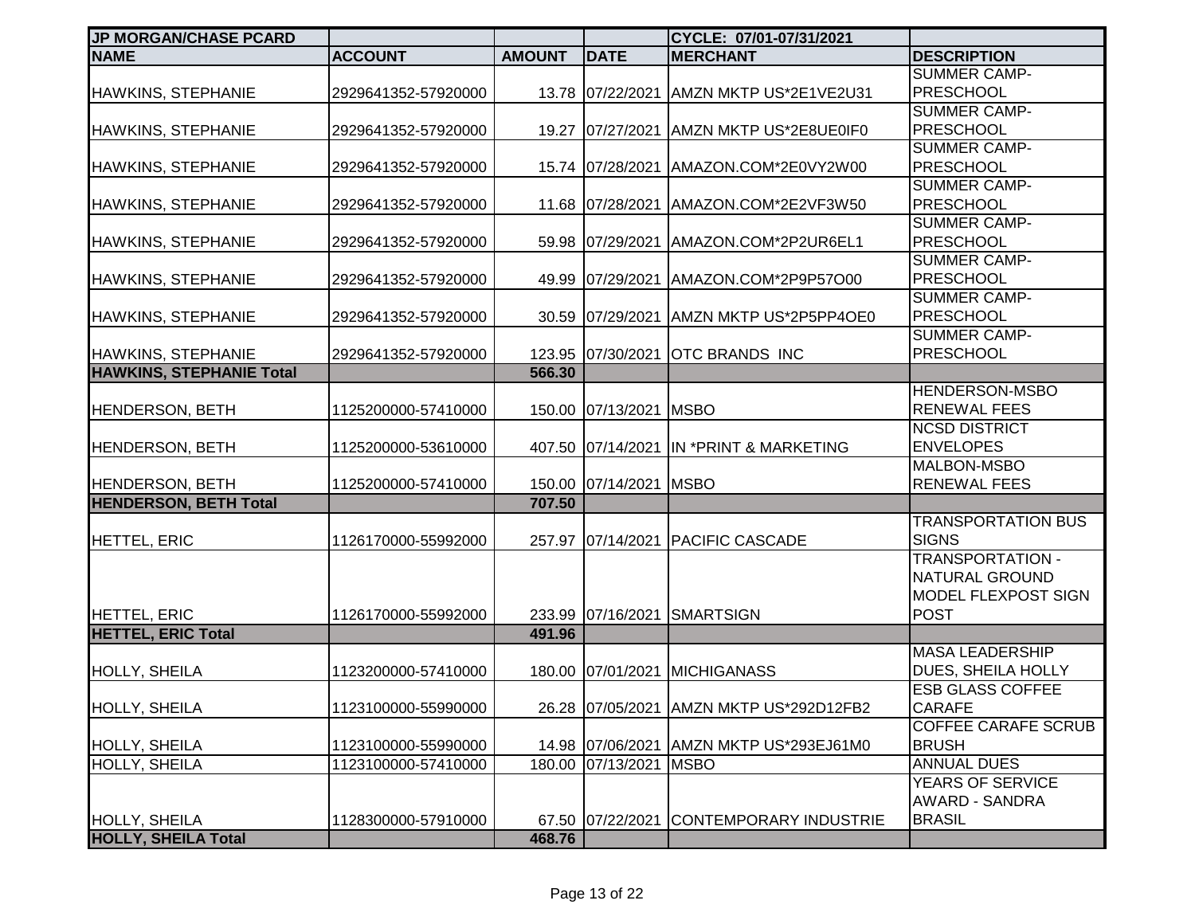| <b>JP MORGAN/CHASE PCARD</b>    |                     |               |                        | CYCLE: 07/01-07/31/2021                     |                                         |
|---------------------------------|---------------------|---------------|------------------------|---------------------------------------------|-----------------------------------------|
| <b>NAME</b>                     | <b>ACCOUNT</b>      | <b>AMOUNT</b> | <b>DATE</b>            | <b>MERCHANT</b>                             | <b>DESCRIPTION</b>                      |
|                                 |                     |               |                        |                                             | <b>SUMMER CAMP-</b>                     |
| <b>HAWKINS, STEPHANIE</b>       | 2929641352-57920000 |               | 13.78 07/22/2021       | AMZN MKTP US*2E1VE2U31                      | <b>PRESCHOOL</b>                        |
|                                 |                     |               |                        |                                             | <b>SUMMER CAMP-</b>                     |
| <b>HAWKINS, STEPHANIE</b>       | 2929641352-57920000 |               |                        | 19.27 07/27/2021 AMZN MKTP US*2E8UE0IF0     | <b>PRESCHOOL</b>                        |
|                                 |                     |               |                        |                                             | <b>SUMMER CAMP-</b>                     |
| <b>HAWKINS, STEPHANIE</b>       | 2929641352-57920000 |               |                        | 15.74 07/28/2021 AMAZON.COM*2E0VY2W00       | <b>PRESCHOOL</b>                        |
|                                 |                     |               |                        |                                             | <b>SUMMER CAMP-</b>                     |
| <b>HAWKINS, STEPHANIE</b>       | 2929641352-57920000 |               |                        | 11.68 07/28/2021 AMAZON.COM*2E2VF3W50       | <b>PRESCHOOL</b>                        |
|                                 |                     |               |                        |                                             | <b>SUMMER CAMP-</b>                     |
| <b>HAWKINS, STEPHANIE</b>       | 2929641352-57920000 |               | 59.98 07/29/2021       | AMAZON.COM*2P2UR6EL1                        | <b>PRESCHOOL</b>                        |
|                                 |                     |               |                        |                                             | <b>SUMMER CAMP-</b>                     |
| <b>HAWKINS, STEPHANIE</b>       | 2929641352-57920000 |               | 49.99 07/29/2021       | AMAZON.COM*2P9P57O00                        | <b>PRESCHOOL</b>                        |
|                                 |                     |               |                        |                                             | <b>SUMMER CAMP-</b>                     |
| <b>HAWKINS, STEPHANIE</b>       | 2929641352-57920000 |               | 30.59 07/29/2021       | AMZN MKTP US*2P5PP4OE0                      | <b>PRESCHOOL</b>                        |
|                                 |                     |               |                        |                                             | SUMMER CAMP-                            |
| <b>HAWKINS, STEPHANIE</b>       | 2929641352-57920000 |               | 123.95 07/30/2021      | <b>OTC BRANDS INC</b>                       | <b>PRESCHOOL</b>                        |
| <b>HAWKINS, STEPHANIE Total</b> |                     | 566.30        |                        |                                             |                                         |
|                                 |                     |               |                        |                                             | HENDERSON-MSBO                          |
| <b>HENDERSON, BETH</b>          | 1125200000-57410000 |               | 150.00 07/13/2021      | <b>MSBO</b>                                 | <b>RENEWAL FEES</b>                     |
|                                 |                     |               |                        |                                             | <b>NCSD DISTRICT</b>                    |
| <b>HENDERSON, BETH</b>          | 1125200000-53610000 |               |                        | 407.50 07/14/2021 IN *PRINT & MARKETING     | <b>ENVELOPES</b>                        |
|                                 |                     |               |                        |                                             | MALBON-MSBO                             |
| <b>HENDERSON, BETH</b>          | 1125200000-57410000 |               | 150.00 07/14/2021 MSBO |                                             | <b>RENEWAL FEES</b>                     |
| <b>HENDERSON, BETH Total</b>    |                     | 707.50        |                        |                                             |                                         |
|                                 |                     |               |                        |                                             | <b>TRANSPORTATION BUS</b>               |
| HETTEL, ERIC                    | 1126170000-55992000 |               | 257.97 07/14/2021      | <b>PACIFIC CASCADE</b>                      | <b>SIGNS</b><br><b>TRANSPORTATION -</b> |
|                                 |                     |               |                        |                                             | NATURAL GROUND                          |
|                                 |                     |               |                        |                                             | MODEL FLEXPOST SIGN                     |
| <b>HETTEL, ERIC</b>             | 1126170000-55992000 |               |                        | <b>SMARTSIGN</b>                            | <b>POST</b>                             |
| <b>HETTEL, ERIC Total</b>       |                     | 491.96        | 233.99 07/16/2021      |                                             |                                         |
|                                 |                     |               |                        |                                             | <b>MASA LEADERSHIP</b>                  |
| <b>HOLLY, SHEILA</b>            | 1123200000-57410000 |               | 180.00 07/01/2021      | <b>MICHIGANASS</b>                          | DUES, SHEILA HOLLY                      |
|                                 |                     |               |                        |                                             | <b>ESB GLASS COFFEE</b>                 |
| <b>IHOLLY, SHEILA</b>           | 1123100000-55990000 |               |                        | 26.28   07/05/2021   AMZN MKTP US*292D12FB2 | <b>CARAFE</b>                           |
|                                 |                     |               |                        |                                             | COFFEE CARAFE SCRUB                     |
| <b>HOLLY, SHEILA</b>            | 1123100000-55990000 |               | 14.98 07/06/2021       | AMZN MKTP US*293EJ61M0                      | <b>BRUSH</b>                            |
| <b>HOLLY, SHEILA</b>            | 1123100000-57410000 |               | 180.00 07/13/2021      | <b>MSBO</b>                                 | <b>ANNUAL DUES</b>                      |
|                                 |                     |               |                        |                                             | YEARS OF SERVICE                        |
|                                 |                     |               |                        |                                             | AWARD - SANDRA                          |
| <b>HOLLY, SHEILA</b>            | 1128300000-57910000 |               | 67.50 07/22/2021       | CONTEMPORARY INDUSTRIE                      | <b>BRASIL</b>                           |
| <b>HOLLY, SHEILA Total</b>      |                     | 468.76        |                        |                                             |                                         |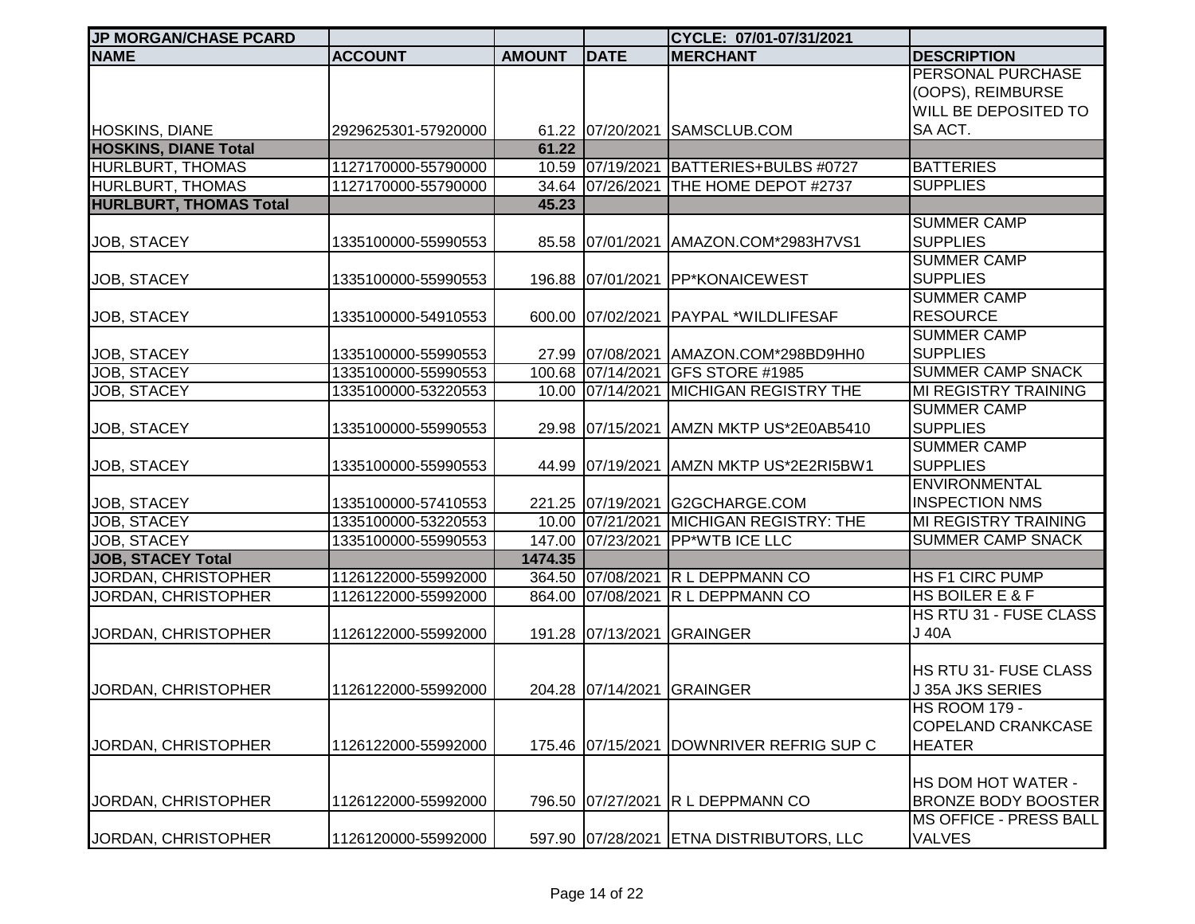| <b>JP MORGAN/CHASE PCARD</b>  |                     |               |                   | CYCLE: 07/01-07/31/2021                  |                             |
|-------------------------------|---------------------|---------------|-------------------|------------------------------------------|-----------------------------|
| <b>NAME</b>                   | <b>ACCOUNT</b>      | <b>AMOUNT</b> | <b>DATE</b>       | <b>MERCHANT</b>                          | <b>DESCRIPTION</b>          |
|                               |                     |               |                   |                                          | <b>PERSONAL PURCHASE</b>    |
|                               |                     |               |                   |                                          | (OOPS), REIMBURSE           |
|                               |                     |               |                   |                                          | WILL BE DEPOSITED TO        |
| <b>HOSKINS, DIANE</b>         | 2929625301-57920000 |               |                   | 61.22 07/20/2021 SAMSCLUB.COM            | SA ACT.                     |
| <b>HOSKINS, DIANE Total</b>   |                     | 61.22         |                   |                                          |                             |
| <b>HURLBURT, THOMAS</b>       | 1127170000-55790000 |               |                   | 10.59 07/19/2021 BATTERIES+BULBS #0727   | <b>BATTERIES</b>            |
| <b>HURLBURT, THOMAS</b>       | 1127170000-55790000 |               | 34.64 07/26/2021  | THE HOME DEPOT #2737                     | <b>SUPPLIES</b>             |
| <b>HURLBURT, THOMAS Total</b> |                     | 45.23         |                   |                                          |                             |
|                               |                     |               |                   |                                          | <b>SUMMER CAMP</b>          |
| JOB, STACEY                   | 1335100000-55990553 |               |                   | 85.58 07/01/2021 AMAZON.COM*2983H7VS1    | <b>SUPPLIES</b>             |
|                               |                     |               |                   |                                          | <b>SUMMER CAMP</b>          |
| <b>JOB, STACEY</b>            | 1335100000-55990553 |               | 196.88 07/01/2021 | <b>PP*KONAICEWEST</b>                    | <b>SUPPLIES</b>             |
|                               |                     |               |                   |                                          | <b>SUMMER CAMP</b>          |
| <b>JOB, STACEY</b>            | 1335100000-54910553 |               |                   | 600.00 07/02/2021 PAYPAL *WILDLIFESAF    | <b>RESOURCE</b>             |
|                               |                     |               |                   |                                          | <b>SUMMER CAMP</b>          |
|                               | 1335100000-55990553 |               |                   | 27.99 07/08/2021 AMAZON.COM*298BD9HH0    | <b>SUPPLIES</b>             |
| <b>JOB, STACEY</b>            |                     |               |                   |                                          | <b>SUMMER CAMP SNACK</b>    |
| JOB, STACEY                   | 1335100000-55990553 |               | 100.68 07/14/2021 | GFS STORE #1985                          |                             |
| JOB, STACEY                   | 1335100000-53220553 |               | 10.00 07/14/2021  | <b>MICHIGAN REGISTRY THE</b>             | MI REGISTRY TRAINING        |
|                               |                     |               |                   |                                          | <b>SUMMER CAMP</b>          |
| <b>JOB, STACEY</b>            | 1335100000-55990553 |               | 29.98 07/15/2021  | AMZN MKTP US*2E0AB5410                   | <b>SUPPLIES</b>             |
|                               |                     |               |                   |                                          | <b>SUMMER CAMP</b>          |
| JOB, STACEY                   | 1335100000-55990553 |               |                   | 44.99 07/19/2021 AMZN MKTP US*2E2RI5BW1  | <b>SUPPLIES</b>             |
|                               |                     |               |                   |                                          | <b>ENVIRONMENTAL</b>        |
| JOB, STACEY                   | 1335100000-57410553 |               |                   | 221.25 07/19/2021 G2GCHARGE.COM          | <b>INSPECTION NMS</b>       |
| JOB, STACEY                   | 1335100000-53220553 |               | 10.00 07/21/2021  | <b>MICHIGAN REGISTRY: THE</b>            | <b>MI REGISTRY TRAINING</b> |
| <b>JOB, STACEY</b>            | 1335100000-55990553 |               | 147.00 07/23/2021 | <b>PP*WTB ICE LLC</b>                    | <b>SUMMER CAMP SNACK</b>    |
| <b>JOB, STACEY Total</b>      |                     | 1474.35       |                   |                                          |                             |
| JORDAN, CHRISTOPHER           | 1126122000-55992000 |               | 364.50 07/08/2021 | <b>R L DEPPMANN CO</b>                   | HS F1 CIRC PUMP             |
| JORDAN, CHRISTOPHER           | 1126122000-55992000 | 864.00        | 07/08/2021        | <b>R L DEPPMANN CO</b>                   | HS BOILER E & F             |
|                               |                     |               |                   |                                          | HS RTU 31 - FUSE CLASS      |
| JORDAN, CHRISTOPHER           | 1126122000-55992000 |               | 191.28 07/13/2021 | <b>GRAINGER</b>                          | J 40A                       |
|                               |                     |               |                   |                                          |                             |
|                               |                     |               |                   |                                          | HS RTU 31- FUSE CLASS       |
| JORDAN, CHRISTOPHER           | 1126122000-55992000 |               |                   | 204.28 07/14/2021 GRAINGER               | J 35A JKS SERIES            |
|                               |                     |               |                   |                                          | <b>HS ROOM 179 -</b>        |
|                               |                     |               |                   |                                          | <b>COPELAND CRANKCASE</b>   |
| JORDAN, CHRISTOPHER           | 1126122000-55992000 |               | 175.46 07/15/2021 | <b>IDOWNRIVER REFRIG SUP C</b>           | <b>HEATER</b>               |
|                               |                     |               |                   |                                          |                             |
|                               |                     |               |                   |                                          |                             |
|                               |                     |               |                   |                                          | HS DOM HOT WATER -          |
| JORDAN, CHRISTOPHER           | 1126122000-55992000 |               | 796.50 07/27/2021 | <b>IR L DEPPMANN CO</b>                  | <b>BRONZE BODY BOOSTER</b>  |
|                               |                     |               |                   |                                          | MS OFFICE - PRESS BALL      |
| JORDAN, CHRISTOPHER           | 1126120000-55992000 |               |                   | 597.90 07/28/2021 ETNA DISTRIBUTORS, LLC | <b>VALVES</b>               |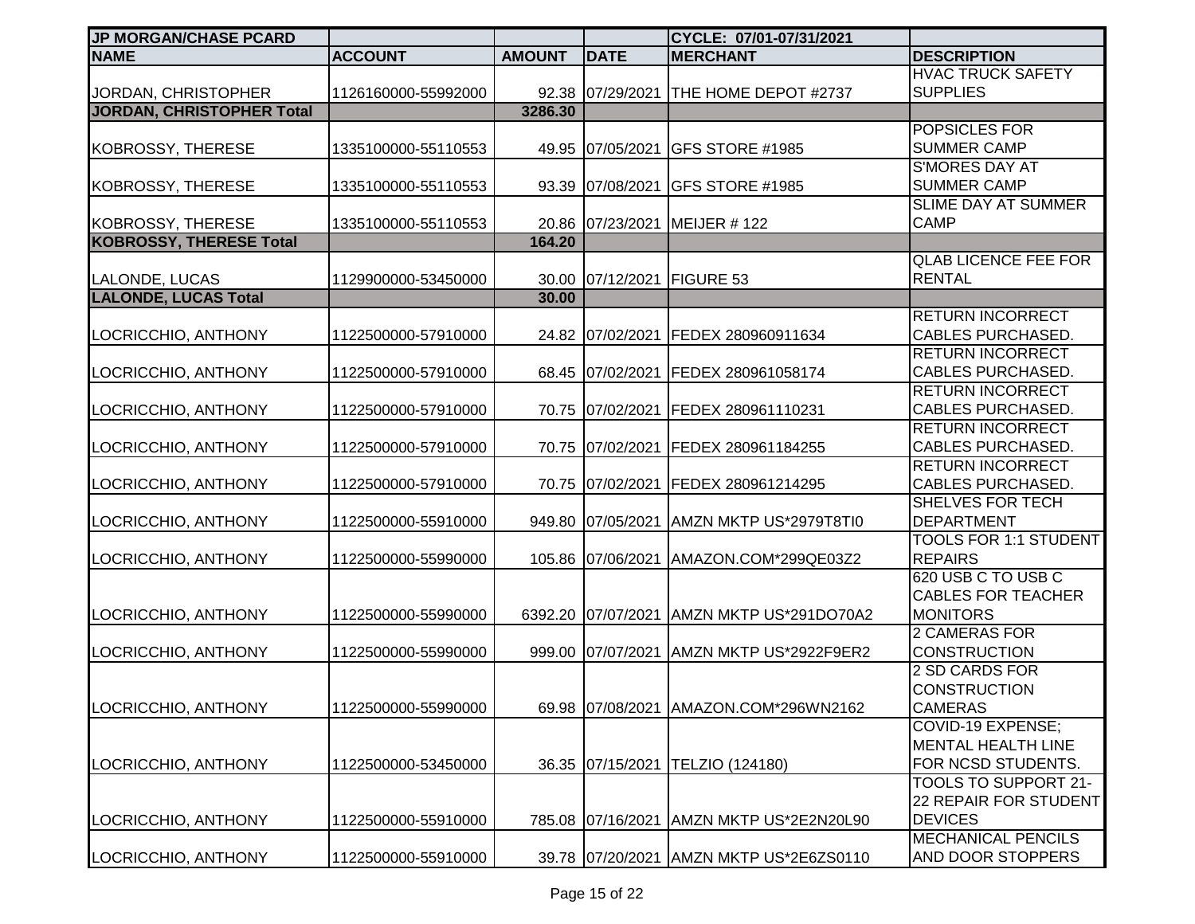| <b>JP MORGAN/CHASE PCARD</b>     |                     |               |                   | CYCLE: 07/01-07/31/2021                   |                                                                      |
|----------------------------------|---------------------|---------------|-------------------|-------------------------------------------|----------------------------------------------------------------------|
| <b>NAME</b>                      | <b>ACCOUNT</b>      | <b>AMOUNT</b> | <b>DATE</b>       | <b>MERCHANT</b>                           | <b>DESCRIPTION</b>                                                   |
| JORDAN, CHRISTOPHER              | 1126160000-55992000 |               |                   | 92.38 07/29/2021 THE HOME DEPOT #2737     | <b>HVAC TRUCK SAFETY</b><br><b>SUPPLIES</b>                          |
| <b>JORDAN, CHRISTOPHER Total</b> |                     | 3286.30       |                   |                                           |                                                                      |
| <b>KOBROSSY, THERESE</b>         | 1335100000-55110553 |               | 49.95 07/05/2021  | <b>GFS STORE #1985</b>                    | POPSICLES FOR<br><b>SUMMER CAMP</b>                                  |
| <b>KOBROSSY, THERESE</b>         | 1335100000-55110553 |               | 93.39 07/08/2021  | GFS STORE #1985                           | <b>S'MORES DAY AT</b><br><b>SUMMER CAMP</b>                          |
| <b>KOBROSSY, THERESE</b>         | 1335100000-55110553 |               | 20.86 07/23/2021  | MEIJER #122                               | <b>SLIME DAY AT SUMMER</b><br><b>CAMP</b>                            |
| <b>KOBROSSY, THERESE Total</b>   |                     | 164.20        |                   |                                           |                                                                      |
| LALONDE, LUCAS                   | 1129900000-53450000 |               | 30.00 07/12/2021  | <b>FIGURE 53</b>                          | <b>QLAB LICENCE FEE FOR</b><br><b>RENTAL</b>                         |
| <b>LALONDE, LUCAS Total</b>      |                     | 30.00         |                   |                                           |                                                                      |
| LOCRICCHIO, ANTHONY              | 1122500000-57910000 |               |                   | 24.82 07/02/2021 FEDEX 280960911634       | <b>RETURN INCORRECT</b><br><b>CABLES PURCHASED.</b>                  |
| LOCRICCHIO, ANTHONY              | 1122500000-57910000 |               | 68.45 07/02/2021  | FEDEX 280961058174                        | RETURN INCORRECT<br><b>CABLES PURCHASED.</b>                         |
| LOCRICCHIO, ANTHONY              | 1122500000-57910000 |               | 70.75 07/02/2021  | FEDEX 280961110231                        | <b>RETURN INCORRECT</b><br><b>CABLES PURCHASED.</b>                  |
| LOCRICCHIO, ANTHONY              | 1122500000-57910000 |               | 70.75 07/02/2021  | FEDEX 280961184255                        | <b>RETURN INCORRECT</b><br><b>CABLES PURCHASED.</b>                  |
| LOCRICCHIO, ANTHONY              | 1122500000-57910000 |               | 70.75 07/02/2021  | FEDEX 280961214295                        | <b>RETURN INCORRECT</b><br><b>CABLES PURCHASED.</b>                  |
| LOCRICCHIO, ANTHONY              | 1122500000-55910000 |               | 949.80 07/05/2021 | AMZN MKTP US*2979T8TI0                    | SHELVES FOR TECH<br><b>DEPARTMENT</b>                                |
| LOCRICCHIO, ANTHONY              | 1122500000-55990000 |               | 105.86 07/06/2021 | AMAZON.COM*299QE03Z2                      | <b>TOOLS FOR 1:1 STUDENT</b><br><b>REPAIRS</b>                       |
| LOCRICCHIO, ANTHONY              | 1122500000-55990000 |               |                   | 6392.20 07/07/2021 AMZN MKTP US*291DO70A2 | 620 USB C TO USB C<br><b>CABLES FOR TEACHER</b><br><b>MONITORS</b>   |
| LOCRICCHIO, ANTHONY              | 1122500000-55990000 |               |                   | 999.00 07/07/2021 AMZN MKTP US*2922F9ER2  | <b>2 CAMERAS FOR</b><br><b>CONSTRUCTION</b>                          |
| LOCRICCHIO, ANTHONY              | 1122500000-55990000 |               |                   | 69.98 07/08/2021 AMAZON.COM*296WN2162     | 2 SD CARDS FOR<br><b>CONSTRUCTION</b><br><b>CAMERAS</b>              |
| LOCRICCHIO, ANTHONY              | 1122500000-53450000 |               | 36.35 07/15/2021  | TELZIO (124180)                           | <b>COVID-19 EXPENSE:</b><br>MENTAL HEALTH LINE<br>FOR NCSD STUDENTS. |
| LOCRICCHIO, ANTHONY              | 1122500000-55910000 |               | 785.08 07/16/2021 | AMZN MKTP US*2E2N20L90                    | TOOLS TO SUPPORT 21-<br>22 REPAIR FOR STUDENT<br><b>DEVICES</b>      |
| LOCRICCHIO, ANTHONY              | 1122500000-55910000 |               |                   | 39.78 07/20/2021 AMZN MKTP US*2E6ZS0110   | <b>MECHANICAL PENCILS</b><br>AND DOOR STOPPERS                       |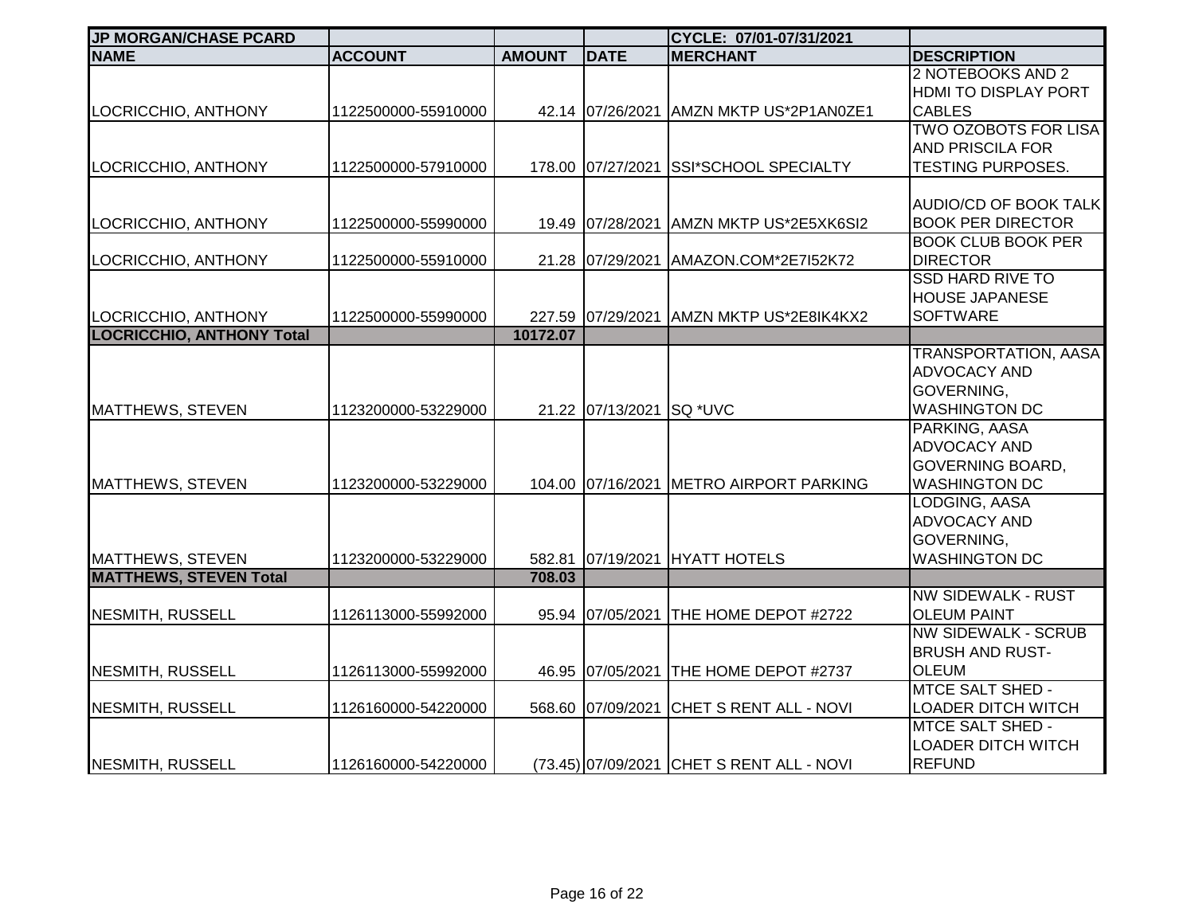| <b>JP MORGAN/CHASE PCARD</b>     |                     |               |                   | CYCLE: 07/01-07/31/2021                   |                              |
|----------------------------------|---------------------|---------------|-------------------|-------------------------------------------|------------------------------|
| <b>NAME</b>                      | <b>ACCOUNT</b>      | <b>AMOUNT</b> | <b>DATE</b>       | <b>MERCHANT</b>                           | <b>DESCRIPTION</b>           |
|                                  |                     |               |                   |                                           | 2 NOTEBOOKS AND 2            |
|                                  |                     |               |                   |                                           | HDMI TO DISPLAY PORT         |
| LOCRICCHIO, ANTHONY              | 1122500000-55910000 |               | 42.14 07/26/2021  | AMZN MKTP US*2P1AN0ZE1                    | <b>CABLES</b>                |
|                                  |                     |               |                   |                                           | <b>TWO OZOBOTS FOR LISA</b>  |
|                                  |                     |               |                   |                                           | <b>AND PRISCILA FOR</b>      |
| LOCRICCHIO, ANTHONY              | 1122500000-57910000 |               | 178.00 07/27/2021 | <b>SSI*SCHOOL SPECIALTY</b>               | <b>TESTING PURPOSES.</b>     |
|                                  |                     |               |                   |                                           |                              |
|                                  |                     |               |                   |                                           | <b>AUDIO/CD OF BOOK TALK</b> |
| LOCRICCHIO, ANTHONY              | 1122500000-55990000 |               |                   | 19.49 07/28/2021 AMZN MKTP US*2E5XK6SI2   | <b>BOOK PER DIRECTOR</b>     |
|                                  |                     |               |                   |                                           | <b>BOOK CLUB BOOK PER</b>    |
| LOCRICCHIO, ANTHONY              | 1122500000-55910000 |               | 21.28 07/29/2021  | AMAZON.COM*2E7I52K72                      | <b>DIRECTOR</b>              |
|                                  |                     |               |                   |                                           | <b>SSD HARD RIVE TO</b>      |
|                                  |                     |               |                   |                                           | <b>HOUSE JAPANESE</b>        |
| LOCRICCHIO, ANTHONY              | 1122500000-55990000 |               | 227.59 07/29/2021 | AMZN MKTP US*2E8IK4KX2                    | <b>SOFTWARE</b>              |
| <b>LOCRICCHIO, ANTHONY Total</b> |                     | 10172.07      |                   |                                           |                              |
|                                  |                     |               |                   |                                           | <b>TRANSPORTATION, AASA</b>  |
|                                  |                     |               |                   |                                           | <b>ADVOCACY AND</b>          |
|                                  |                     |               |                   |                                           | GOVERNING,                   |
| <b>MATTHEWS, STEVEN</b>          | 1123200000-53229000 |               | 21.22 07/13/2021  | <b>SQ *UVC</b>                            | <b>WASHINGTON DC</b>         |
|                                  |                     |               |                   |                                           | PARKING, AASA                |
|                                  |                     |               |                   |                                           | ADVOCACY AND                 |
|                                  |                     |               |                   |                                           | GOVERNING BOARD,             |
| <b>MATTHEWS, STEVEN</b>          | 1123200000-53229000 |               |                   | 104.00 07/16/2021 METRO AIRPORT PARKING   | <b>WASHINGTON DC</b>         |
|                                  |                     |               |                   |                                           | LODGING, AASA                |
|                                  |                     |               |                   |                                           | ADVOCACY AND                 |
|                                  |                     |               |                   |                                           | GOVERNING,                   |
| <b>MATTHEWS, STEVEN</b>          | 1123200000-53229000 |               |                   | 582.81 07/19/2021 HYATT HOTELS            | <b>WASHINGTON DC</b>         |
| <b>MATTHEWS, STEVEN Total</b>    |                     | 708.03        |                   |                                           |                              |
|                                  |                     |               |                   |                                           | <b>NW SIDEWALK - RUST</b>    |
| NESMITH, RUSSELL                 | 1126113000-55992000 |               | 95.94 07/05/2021  | THE HOME DEPOT #2722                      | <b>OLEUM PAINT</b>           |
|                                  |                     |               |                   |                                           | <b>NW SIDEWALK - SCRUB</b>   |
|                                  |                     |               |                   |                                           | <b>BRUSH AND RUST-</b>       |
| <b>NESMITH, RUSSELL</b>          | 1126113000-55992000 |               | 46.95 07/05/2021  | <b>THE HOME DEPOT #2737</b>               | <b>OLEUM</b>                 |
|                                  |                     |               |                   |                                           | <b>MTCE SALT SHED -</b>      |
| <b>NESMITH, RUSSELL</b>          | 1126160000-54220000 |               | 568.60 07/09/2021 | CHET S RENT ALL - NOVI                    | <b>LOADER DITCH WITCH</b>    |
|                                  |                     |               |                   |                                           | <b>MTCE SALT SHED -</b>      |
|                                  |                     |               |                   |                                           | <b>LOADER DITCH WITCH</b>    |
| <b>NESMITH, RUSSELL</b>          | 1126160000-54220000 |               |                   | (73.45) 07/09/2021 CHET S RENT ALL - NOVI | <b>REFUND</b>                |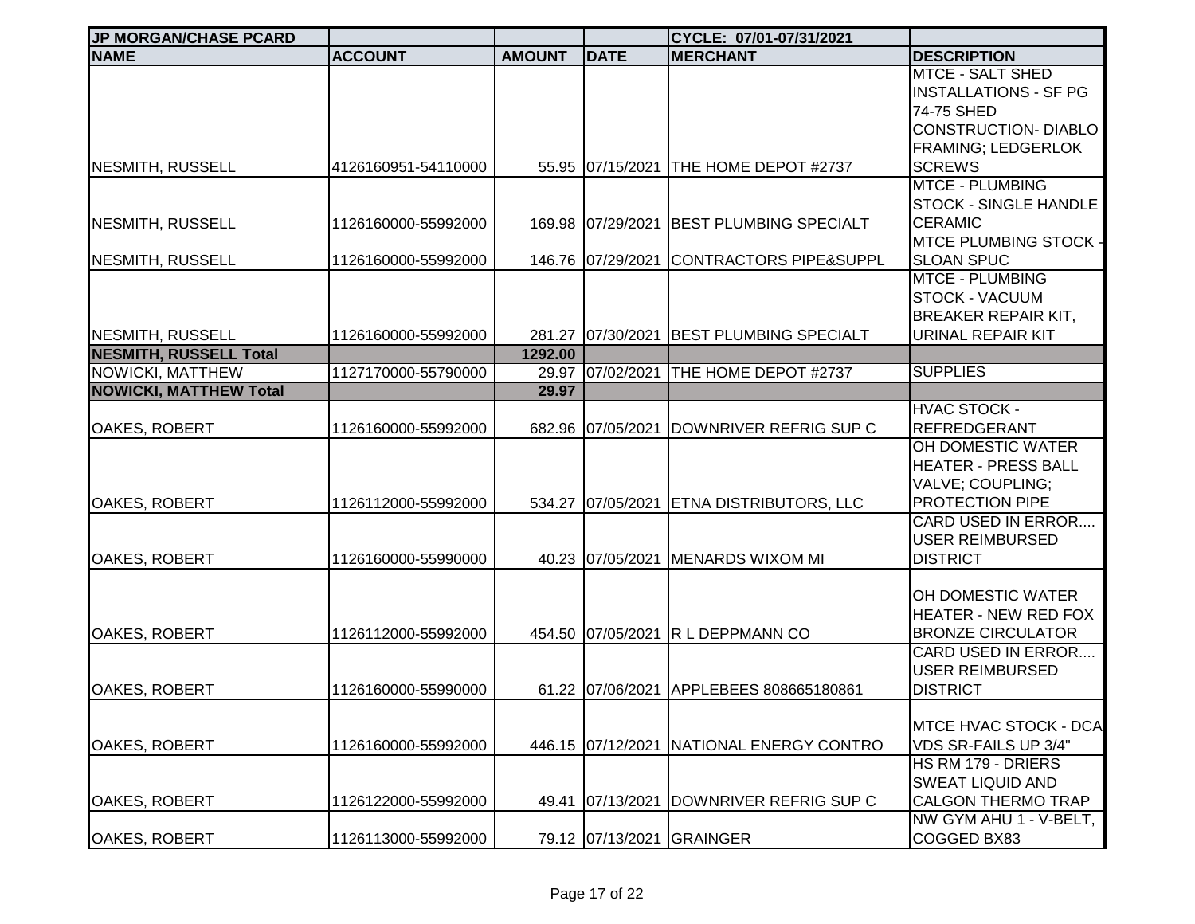| <b>JP MORGAN/CHASE PCARD</b>  |                     |               |                   | CYCLE: 07/01-07/31/2021                  |                              |
|-------------------------------|---------------------|---------------|-------------------|------------------------------------------|------------------------------|
| <b>NAME</b>                   | <b>ACCOUNT</b>      | <b>AMOUNT</b> | <b>DATE</b>       | <b>MERCHANT</b>                          | <b>DESCRIPTION</b>           |
|                               |                     |               |                   |                                          | <b>MTCE - SALT SHED</b>      |
|                               |                     |               |                   |                                          | <b>INSTALLATIONS - SF PG</b> |
|                               |                     |               |                   |                                          | 74-75 SHED                   |
|                               |                     |               |                   |                                          | <b>CONSTRUCTION- DIABLO</b>  |
|                               |                     |               |                   |                                          | <b>FRAMING; LEDGERLOK</b>    |
| <b>NESMITH, RUSSELL</b>       | 4126160951-54110000 |               |                   | 55.95 07/15/2021 THE HOME DEPOT #2737    | <b>SCREWS</b>                |
|                               |                     |               |                   |                                          | <b>MTCE - PLUMBING</b>       |
|                               |                     |               |                   |                                          | <b>STOCK - SINGLE HANDLE</b> |
| <b>NESMITH, RUSSELL</b>       | 1126160000-55992000 |               |                   | 169.98 07/29/2021 BEST PLUMBING SPECIALT | <b>CERAMIC</b>               |
|                               |                     |               |                   |                                          | <b>MTCE PLUMBING STOCK -</b> |
| <b>NESMITH, RUSSELL</b>       | 1126160000-55992000 |               | 146.76 07/29/2021 | <b>CONTRACTORS PIPE&amp;SUPPL</b>        | <b>SLOAN SPUC</b>            |
|                               |                     |               |                   |                                          | <b>MTCE - PLUMBING</b>       |
|                               |                     |               |                   |                                          | <b>STOCK - VACUUM</b>        |
|                               |                     |               |                   |                                          | <b>BREAKER REPAIR KIT,</b>   |
| <b>NESMITH, RUSSELL</b>       | 1126160000-55992000 |               |                   | 281.27 07/30/2021 BEST PLUMBING SPECIALT | URINAL REPAIR KIT            |
| <b>NESMITH, RUSSELL Total</b> |                     | 1292.00       |                   |                                          |                              |
| <b>NOWICKI, MATTHEW</b>       | 1127170000-55790000 | 29.97         | 07/02/2021        | <b>THE HOME DEPOT #2737</b>              | <b>SUPPLIES</b>              |
| <b>NOWICKI, MATTHEW Total</b> |                     | 29.97         |                   |                                          |                              |
|                               |                     |               |                   |                                          | <b>HVAC STOCK -</b>          |
| OAKES, ROBERT                 | 1126160000-55992000 |               | 682.96 07/05/2021 | DOWNRIVER REFRIG SUP C                   | <b>REFREDGERANT</b>          |
|                               |                     |               |                   |                                          | OH DOMESTIC WATER            |
|                               |                     |               |                   |                                          | <b>HEATER - PRESS BALL</b>   |
|                               |                     |               |                   |                                          | VALVE; COUPLING;             |
| OAKES, ROBERT                 | 1126112000-55992000 |               |                   | 534.27 07/05/2021 ETNA DISTRIBUTORS, LLC | PROTECTION PIPE              |
|                               |                     |               |                   |                                          | <b>CARD USED IN ERROR</b>    |
|                               |                     |               |                   |                                          | <b>USER REIMBURSED</b>       |
| <b>OAKES, ROBERT</b>          | 1126160000-55990000 |               |                   | 40.23 07/05/2021 MENARDS WIXOM MI        | <b>DISTRICT</b>              |
|                               |                     |               |                   |                                          |                              |
|                               |                     |               |                   |                                          | OH DOMESTIC WATER            |
|                               |                     |               |                   |                                          | <b>HEATER - NEW RED FOX</b>  |
| OAKES, ROBERT                 | 1126112000-55992000 |               |                   | 454.50 07/05/2021 R L DEPPMANN CO        | <b>BRONZE CIRCULATOR</b>     |
|                               |                     |               |                   |                                          | <b>CARD USED IN ERROR</b>    |
|                               |                     |               |                   |                                          | <b>USER REIMBURSED</b>       |
| <b>OAKES, ROBERT</b>          | 1126160000-55990000 |               |                   | 61.22 07/06/2021 APPLEBEES 808665180861  | <b>DISTRICT</b>              |
|                               |                     |               |                   |                                          |                              |
|                               |                     |               |                   |                                          | <b>MTCE HVAC STOCK - DCA</b> |
| <b>OAKES, ROBERT</b>          | 1126160000-55992000 |               |                   | 446.15 07/12/2021 NATIONAL ENERGY CONTRO | VDS SR-FAILS UP 3/4"         |
|                               |                     |               |                   |                                          | HS RM 179 - DRIERS           |
|                               |                     |               |                   |                                          | <b>SWEAT LIQUID AND</b>      |
| OAKES, ROBERT                 | 1126122000-55992000 |               | 49.41 07/13/2021  | DOWNRIVER REFRIG SUP C                   | <b>CALGON THERMO TRAP</b>    |
|                               |                     |               |                   |                                          | NW GYM AHU 1 - V-BELT,       |
| OAKES, ROBERT                 | 1126113000-55992000 |               |                   | 79.12 07/13/2021 GRAINGER                | COGGED BX83                  |
|                               |                     |               |                   |                                          |                              |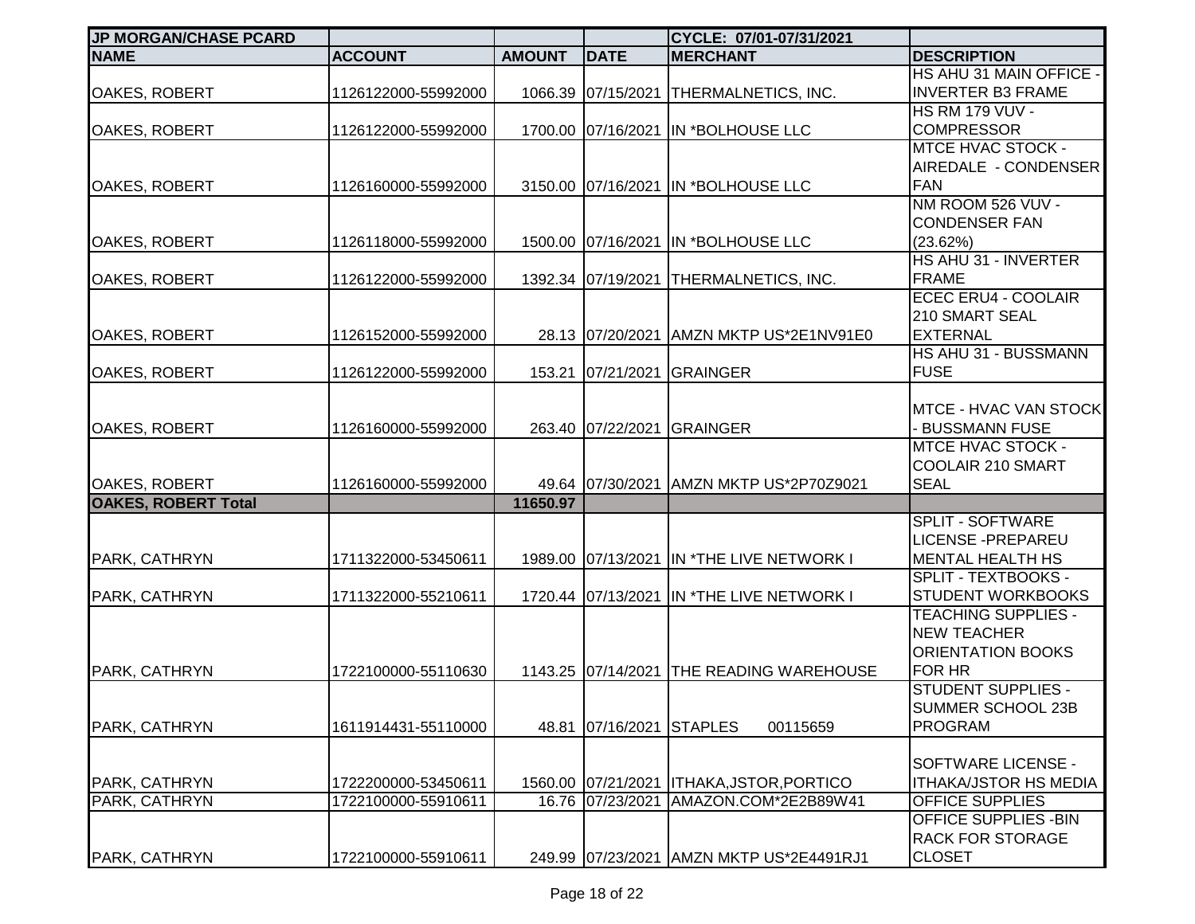| <b>JP MORGAN/CHASE PCARD</b>   |                                            |               |                                        | CYCLE: 07/01-07/31/2021                               |                                                                                               |
|--------------------------------|--------------------------------------------|---------------|----------------------------------------|-------------------------------------------------------|-----------------------------------------------------------------------------------------------|
| <b>NAME</b>                    | <b>ACCOUNT</b>                             | <b>AMOUNT</b> | <b>DATE</b>                            | <b>MERCHANT</b>                                       | <b>DESCRIPTION</b>                                                                            |
| OAKES, ROBERT                  | 1126122000-55992000                        |               |                                        | 1066.39 07/15/2021 THERMALNETICS, INC.                | HS AHU 31 MAIN OFFICE -<br><b>INVERTER B3 FRAME</b>                                           |
| OAKES, ROBERT                  | 1126122000-55992000                        |               |                                        | 1700.00 07/16/2021 IN *BOLHOUSE LLC                   | <b>HS RM 179 VUV -</b><br><b>COMPRESSOR</b>                                                   |
| <b>OAKES, ROBERT</b>           | 1126160000-55992000                        |               |                                        | 3150.00 07/16/2021 IN *BOLHOUSE LLC                   | <b>MTCE HVAC STOCK -</b><br>AIREDALE - CONDENSER<br><b>FAN</b>                                |
| <b>OAKES, ROBERT</b>           | 1126118000-55992000                        |               |                                        | 1500.00 07/16/2021 IN *BOLHOUSE LLC                   | NM ROOM 526 VUV -<br><b>CONDENSER FAN</b><br>(23.62%)<br>HS AHU 31 - INVERTER                 |
| OAKES, ROBERT                  | 1126122000-55992000                        |               |                                        | 1392.34 07/19/2021 THERMALNETICS, INC.                | <b>FRAME</b>                                                                                  |
| OAKES, ROBERT                  | 1126152000-55992000                        |               | 28.13 07/20/2021                       | AMZN MKTP US*2E1NV91E0                                | <b>ECEC ERU4 - COOLAIR</b><br>210 SMART SEAL<br><b>EXTERNAL</b>                               |
| OAKES, ROBERT                  | 1126122000-55992000                        |               | 153.21 07/21/2021                      | <b>GRAINGER</b>                                       | HS AHU 31 - BUSSMANN<br><b>FUSE</b>                                                           |
| OAKES, ROBERT                  | 1126160000-55992000                        |               | 263.40 07/22/2021                      | <b>GRAINGER</b>                                       | MTCE - HVAC VAN STOCK<br>- BUSSMANN FUSE                                                      |
| OAKES, ROBERT                  | 1126160000-55992000                        |               | 49.64 07/30/2021                       | AMZN MKTP US*2P70Z9021                                | <b>MTCE HVAC STOCK -</b><br>COOLAIR 210 SMART<br><b>SEAL</b>                                  |
| <b>OAKES, ROBERT Total</b>     |                                            | 11650.97      |                                        |                                                       |                                                                                               |
| PARK, CATHRYN                  | 1711322000-53450611                        |               |                                        | 1989.00 07/13/2021 IN *THE LIVE NETWORK I             | <b>SPLIT - SOFTWARE</b><br><b>LICENSE - PREPAREU</b><br><b>MENTAL HEALTH HS</b>               |
| PARK, CATHRYN                  | 1711322000-55210611                        |               |                                        | 1720.44 07/13/2021 IN *THE LIVE NETWORK I             | SPLIT - TEXTBOOKS -<br><b>STUDENT WORKBOOKS</b>                                               |
| PARK, CATHRYN                  | 1722100000-55110630                        |               |                                        | 1143.25 07/14/2021 THE READING WAREHOUSE              | <b>TEACHING SUPPLIES -</b><br><b>NEW TEACHER</b><br><b>ORIENTATION BOOKS</b><br><b>FOR HR</b> |
| PARK, CATHRYN                  | 1611914431-55110000                        |               | 48.81 07/16/2021                       | <b>STAPLES</b><br>00115659                            | <b>STUDENT SUPPLIES -</b><br>SUMMER SCHOOL 23B<br><b>PROGRAM</b>                              |
| PARK, CATHRYN<br>PARK, CATHRYN | 1722200000-53450611<br>1722100000-55910611 |               | 1560.00 07/21/2021<br>16.76 07/23/2021 | <b>ITHAKA, JSTOR, PORTICO</b><br>AMAZON.COM*2E2B89W41 | SOFTWARE LICENSE -<br><b>ITHAKA/JSTOR HS MEDIA</b><br><b>OFFICE SUPPLIES</b>                  |
| PARK, CATHRYN                  | 1722100000-55910611                        |               |                                        | 249.99 07/23/2021 AMZN MKTP US*2E4491RJ1              | <b>OFFICE SUPPLIES - BIN</b><br><b>RACK FOR STORAGE</b><br><b>CLOSET</b>                      |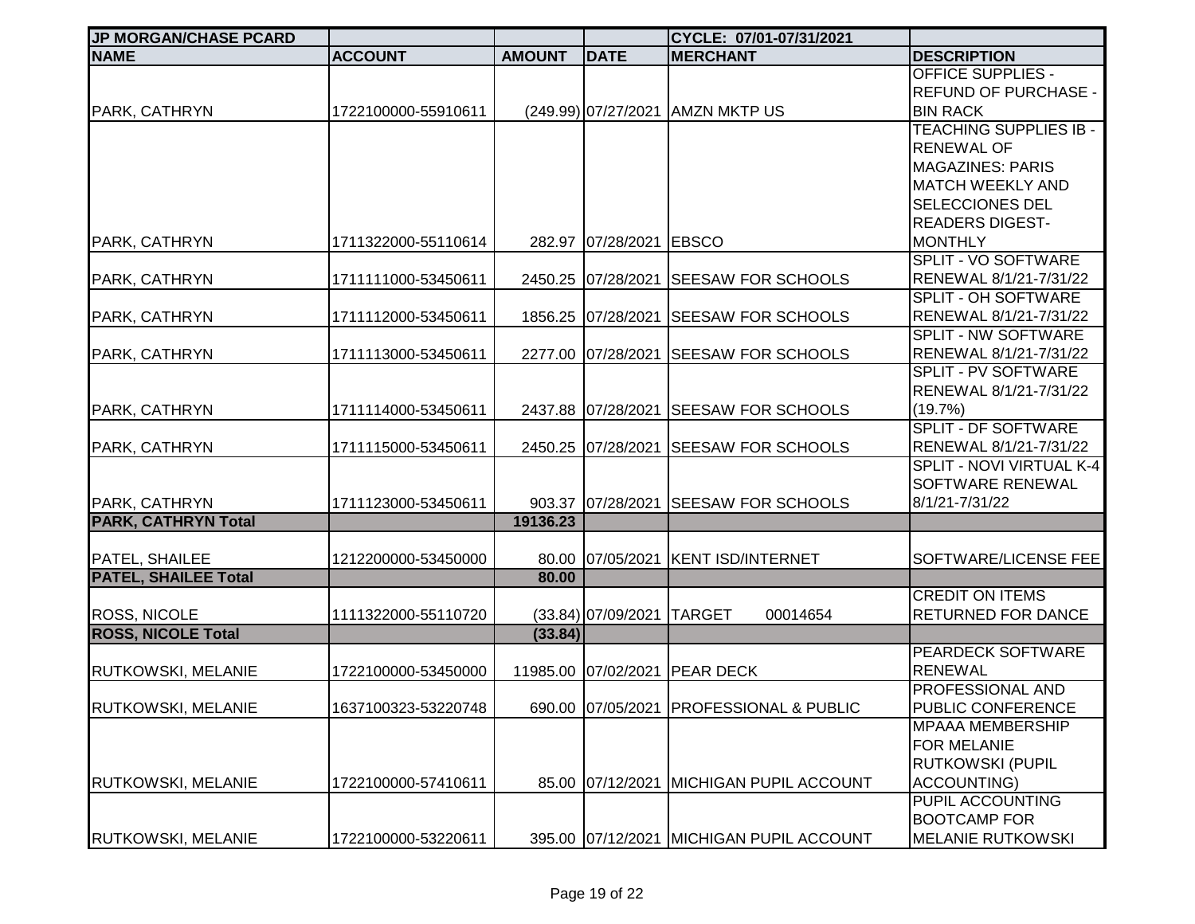| <b>JP MORGAN/CHASE PCARD</b> |                     |               |                           | CYCLE: 07/01-07/31/2021                  |                                              |
|------------------------------|---------------------|---------------|---------------------------|------------------------------------------|----------------------------------------------|
| <b>NAME</b>                  | <b>ACCOUNT</b>      | <b>AMOUNT</b> | <b>DATE</b>               | <b>MERCHANT</b>                          | <b>DESCRIPTION</b>                           |
|                              |                     |               |                           |                                          | <b>OFFICE SUPPLIES -</b>                     |
|                              |                     |               |                           |                                          | <b>REFUND OF PURCHASE -</b>                  |
| <b>PARK, CATHRYN</b>         | 1722100000-55910611 |               |                           | (249.99) 07/27/2021   AMZN MKTP US       | <b>BIN RACK</b>                              |
|                              |                     |               |                           |                                          | <b>TEACHING SUPPLIES IB -</b>                |
|                              |                     |               |                           |                                          | <b>RENEWAL OF</b>                            |
|                              |                     |               |                           |                                          | <b>MAGAZINES: PARIS</b>                      |
|                              |                     |               |                           |                                          | <b>MATCH WEEKLY AND</b>                      |
|                              |                     |               |                           |                                          | <b>SELECCIONES DEL</b>                       |
|                              |                     |               |                           |                                          | <b>READERS DIGEST-</b>                       |
| PARK, CATHRYN                | 1711322000-55110614 |               | 282.97 07/28/2021         | <b>EBSCO</b>                             | <b>MONTHLY</b><br><b>SPLIT - VO SOFTWARE</b> |
| PARK, CATHRYN                | 1711111000-53450611 |               | 2450.25 07/28/2021        | <b>SEESAW FOR SCHOOLS</b>                | RENEWAL 8/1/21-7/31/22                       |
|                              |                     |               |                           |                                          | <b>SPLIT - OH SOFTWARE</b>                   |
| PARK, CATHRYN                | 1711112000-53450611 |               | 1856.25 07/28/2021        | <b>SEESAW FOR SCHOOLS</b>                | RENEWAL 8/1/21-7/31/22                       |
|                              |                     |               |                           |                                          | SPLIT - NW SOFTWARE                          |
| PARK, CATHRYN                | 1711113000-53450611 |               | 2277.00 07/28/2021        | <b>SEESAW FOR SCHOOLS</b>                | RENEWAL 8/1/21-7/31/22                       |
|                              |                     |               |                           |                                          | <b>SPLIT - PV SOFTWARE</b>                   |
|                              |                     |               |                           |                                          | RENEWAL 8/1/21-7/31/22                       |
| PARK, CATHRYN                | 1711114000-53450611 |               | 2437.88 07/28/2021        | <b>SEESAW FOR SCHOOLS</b>                | (19.7%)                                      |
|                              |                     |               |                           |                                          | <b>SPLIT - DF SOFTWARE</b>                   |
| PARK, CATHRYN                | 1711115000-53450611 |               | 2450.25 07/28/2021        | <b>SEESAW FOR SCHOOLS</b>                | RENEWAL 8/1/21-7/31/22                       |
|                              |                     |               |                           |                                          | SPLIT - NOVI VIRTUAL K-4                     |
|                              |                     |               |                           |                                          | SOFTWARE RENEWAL                             |
| PARK, CATHRYN                | 1711123000-53450611 |               | 903.37 07/28/2021         | <b>SEESAW FOR SCHOOLS</b>                | 8/1/21-7/31/22                               |
| <b>PARK, CATHRYN Total</b>   |                     | 19136.23      |                           |                                          |                                              |
|                              |                     |               |                           |                                          |                                              |
| PATEL, SHAILEE               | 1212200000-53450000 |               | 80.00 07/05/2021          | <b>KENT ISD/INTERNET</b>                 | SOFTWARE/LICENSE FEE                         |
| <b>PATEL, SHAILEE Total</b>  |                     | 80.00         |                           |                                          | <b>CREDIT ON ITEMS</b>                       |
| <b>ROSS, NICOLE</b>          | 1111322000-55110720 |               | (33.84) 07/09/2021 TARGET | 00014654                                 | <b>RETURNED FOR DANCE</b>                    |
| <b>ROSS, NICOLE Total</b>    |                     | (33.84)       |                           |                                          |                                              |
|                              |                     |               |                           |                                          | <b>PEARDECK SOFTWARE</b>                     |
| <b>RUTKOWSKI, MELANIE</b>    | 1722100000-53450000 |               | 11985.00 07/02/2021       | <b>PEAR DECK</b>                         | <b>RENEWAL</b>                               |
|                              |                     |               |                           |                                          | <b>PROFESSIONAL AND</b>                      |
| <b>RUTKOWSKI, MELANIE</b>    | 1637100323-53220748 |               |                           | 690.00 07/05/2021 PROFESSIONAL & PUBLIC  | <b>PUBLIC CONFERENCE</b>                     |
|                              |                     |               |                           |                                          | <b>MPAAA MEMBERSHIP</b>                      |
|                              |                     |               |                           |                                          | <b>FOR MELANIE</b>                           |
|                              |                     |               |                           |                                          | <b>RUTKOWSKI (PUPIL</b>                      |
| <b>RUTKOWSKI, MELANIE</b>    | 1722100000-57410611 |               | 85.00 07/12/2021          | <b>MICHIGAN PUPIL ACCOUNT</b>            | ACCOUNTING)                                  |
|                              |                     |               |                           |                                          | PUPIL ACCOUNTING                             |
|                              |                     |               |                           |                                          | <b>BOOTCAMP FOR</b>                          |
| RUTKOWSKI, MELANIE           | 1722100000-53220611 |               |                           | 395.00 07/12/2021 MICHIGAN PUPIL ACCOUNT | <b>MELANIE RUTKOWSKI</b>                     |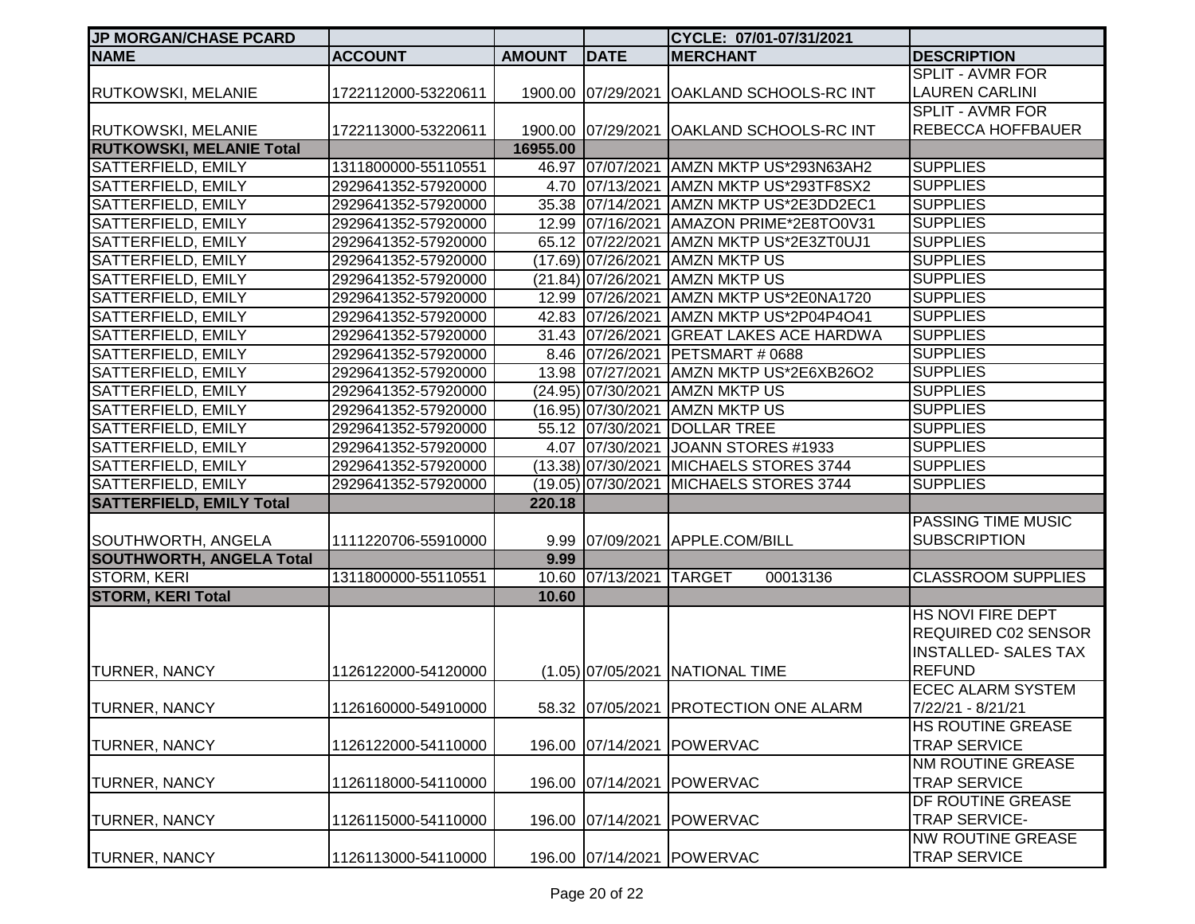| <b>JP MORGAN/CHASE PCARD</b>    |                     |               |                         | CYCLE: 07/01-07/31/2021                   |                             |
|---------------------------------|---------------------|---------------|-------------------------|-------------------------------------------|-----------------------------|
| <b>NAME</b>                     | <b>ACCOUNT</b>      | <b>AMOUNT</b> | <b>DATE</b>             | <b>MERCHANT</b>                           | <b>DESCRIPTION</b>          |
|                                 |                     |               |                         |                                           | <b>SPLIT - AVMR FOR</b>     |
| <b>RUTKOWSKI, MELANIE</b>       | 1722112000-53220611 |               |                         | 1900.00 07/29/2021 OAKLAND SCHOOLS-RC INT | <b>LAUREN CARLINI</b>       |
|                                 |                     |               |                         |                                           | <b>SPLIT - AVMR FOR</b>     |
| <b>RUTKOWSKI, MELANIE</b>       | 1722113000-53220611 |               |                         | 1900.00 07/29/2021 OAKLAND SCHOOLS-RC INT | <b>REBECCA HOFFBAUER</b>    |
| <b>RUTKOWSKI, MELANIE Total</b> |                     | 16955.00      |                         |                                           |                             |
| SATTERFIELD, EMILY              | 1311800000-55110551 |               |                         | 46.97 07/07/2021 AMZN MKTP US*293N63AH2   | <b>SUPPLIES</b>             |
| SATTERFIELD, EMILY              | 2929641352-57920000 |               |                         | 4.70 07/13/2021 AMZN MKTP US*293TF8SX2    | <b>SUPPLIES</b>             |
| SATTERFIELD, EMILY              | 2929641352-57920000 |               |                         | 35.38 07/14/2021 AMZN MKTP US*2E3DD2EC1   | <b>SUPPLIES</b>             |
| SATTERFIELD, EMILY              | 2929641352-57920000 |               |                         | 12.99 07/16/2021 AMAZON PRIME*2E8TO0V31   | <b>SUPPLIES</b>             |
| SATTERFIELD, EMILY              | 2929641352-57920000 |               |                         | 65.12 07/22/2021 AMZN MKTP US*2E3ZT0UJ1   | <b>SUPPLIES</b>             |
| SATTERFIELD, EMILY              | 2929641352-57920000 |               |                         | (17.69) 07/26/2021 AMZN MKTP US           | <b>SUPPLIES</b>             |
| SATTERFIELD, EMILY              | 2929641352-57920000 |               | (21.84) 07/26/2021      | <b>AMZN MKTP US</b>                       | <b>SUPPLIES</b>             |
| <b>SATTERFIELD, EMILY</b>       | 2929641352-57920000 |               | 12.99 07/26/2021        | AMZN MKTP US*2E0NA1720                    | <b>SUPPLIES</b>             |
| <b>SATTERFIELD, EMILY</b>       | 2929641352-57920000 |               | 42.83 07/26/2021        | AMZN MKTP US*2P04P4O41                    | <b>SUPPLIES</b>             |
| <b>SATTERFIELD, EMILY</b>       | 2929641352-57920000 |               | 31.43 07/26/2021        | <b>GREAT LAKES ACE HARDWA</b>             | <b>SUPPLIES</b>             |
| SATTERFIELD, EMILY              | 2929641352-57920000 |               | 8.46 07/26/2021         | PETSMART # 0688                           | <b>SUPPLIES</b>             |
| SATTERFIELD, EMILY              | 2929641352-57920000 |               | 13.98 07/27/2021        | AMZN MKTP US*2E6XB26O2                    | <b>SUPPLIES</b>             |
| SATTERFIELD, EMILY              | 2929641352-57920000 |               | (24.95) 07/30/2021      | <b>AMZN MKTP US</b>                       | <b>SUPPLIES</b>             |
| SATTERFIELD, EMILY              | 2929641352-57920000 |               | (16.95) 07/30/2021      | <b>AMZN MKTP US</b>                       | <b>SUPPLIES</b>             |
| SATTERFIELD, EMILY              | 2929641352-57920000 |               | 55.12 07/30/2021        | <b>DOLLAR TREE</b>                        | <b>SUPPLIES</b>             |
| SATTERFIELD, EMILY              | 2929641352-57920000 |               | 4.07 07/30/2021         | JOANN STORES #1933                        | <b>SUPPLIES</b>             |
| SATTERFIELD, EMILY              | 2929641352-57920000 |               |                         | (13.38) 07/30/2021 MICHAELS STORES 3744   | <b>SUPPLIES</b>             |
| SATTERFIELD, EMILY              | 2929641352-57920000 |               | (19.05) 07/30/2021      | MICHAELS STORES 3744                      | <b>SUPPLIES</b>             |
| <b>SATTERFIELD, EMILY Total</b> |                     | 220.18        |                         |                                           |                             |
|                                 |                     |               |                         |                                           | PASSING TIME MUSIC          |
| SOUTHWORTH, ANGELA              | 1111220706-55910000 |               |                         | 9.99 07/09/2021 APPLE.COM/BILL            | <b>SUBSCRIPTION</b>         |
| <b>SOUTHWORTH, ANGELA Total</b> |                     | 9.99          |                         |                                           |                             |
| <b>STORM, KERI</b>              | 1311800000-55110551 |               | 10.60 07/13/2021 TARGET | 00013136                                  | <b>CLASSROOM SUPPLIES</b>   |
| <b>STORM, KERI Total</b>        |                     | 10.60         |                         |                                           |                             |
|                                 |                     |               |                         |                                           | HS NOVI FIRE DEPT           |
|                                 |                     |               |                         |                                           | <b>REQUIRED C02 SENSOR</b>  |
|                                 |                     |               |                         |                                           | <b>INSTALLED- SALES TAX</b> |
| <b>TURNER, NANCY</b>            | 1126122000-54120000 |               |                         | (1.05) 07/05/2021 NATIONAL TIME           | <b>REFUND</b>               |
|                                 |                     |               |                         |                                           | <b>ECEC ALARM SYSTEM</b>    |
| <b>TURNER, NANCY</b>            | 1126160000-54910000 |               |                         | 58.32 07/05/2021 PROTECTION ONE ALARM     | 7/22/21 - 8/21/21           |
|                                 |                     |               |                         |                                           | HS ROUTINE GREASE           |
| <b>TURNER, NANCY</b>            | 1126122000-54110000 |               | 196.00 07/14/2021       | POWERVAC                                  | <b>TRAP SERVICE</b>         |
|                                 |                     |               |                         |                                           | NM ROUTINE GREASE           |
| <b>TURNER, NANCY</b>            | 1126118000-54110000 |               | 196.00 07/14/2021       | POWERVAC                                  | <b>TRAP SERVICE</b>         |
|                                 |                     |               |                         |                                           | DF ROUTINE GREASE           |
| <b>TURNER, NANCY</b>            | 1126115000-54110000 |               | 196.00 07/14/2021       | POWERVAC                                  | TRAP SERVICE-               |
|                                 |                     |               |                         |                                           | <b>NW ROUTINE GREASE</b>    |
| <b>TURNER, NANCY</b>            | 1126113000-54110000 |               |                         | 196.00 07/14/2021 POWERVAC                | <b>TRAP SERVICE</b>         |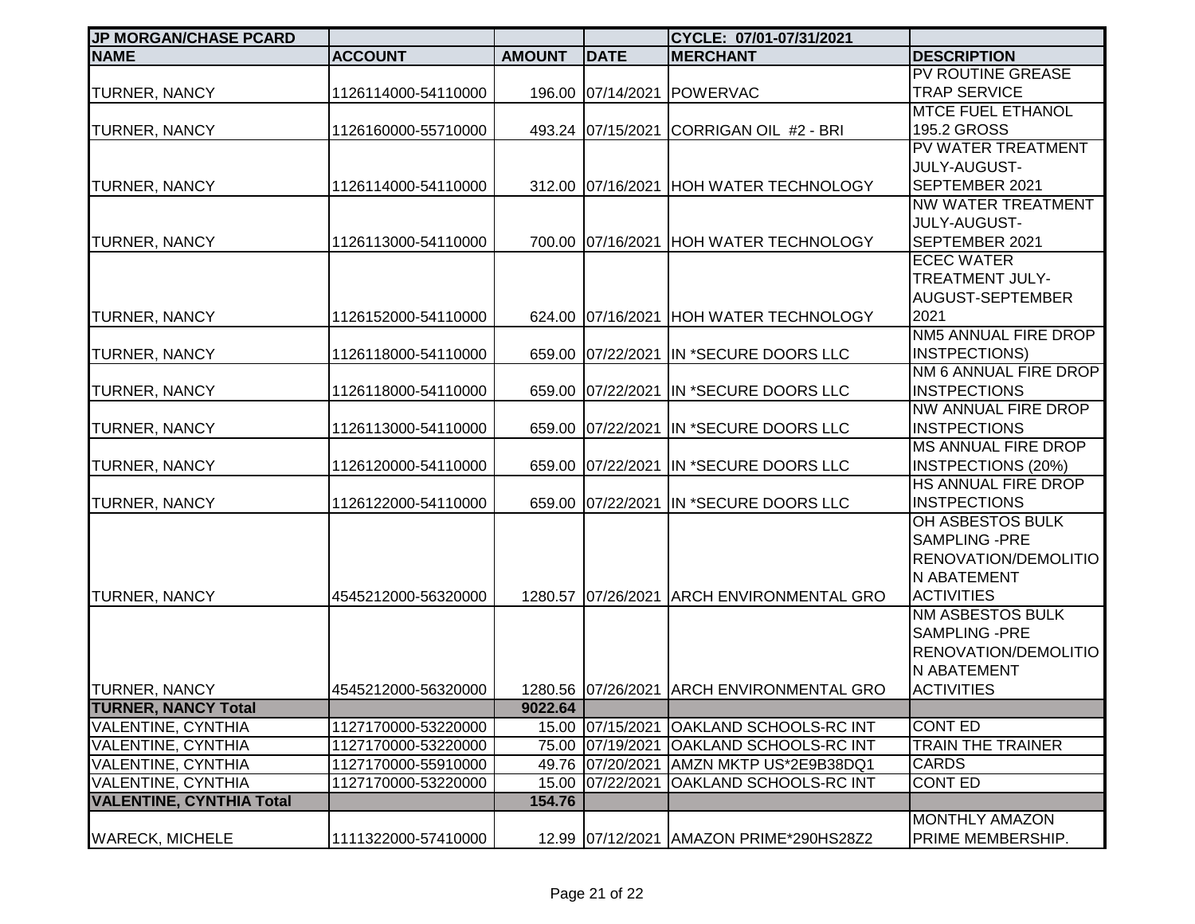| <b>JP MORGAN/CHASE PCARD</b>    |                     |               |                    | CYCLE: 07/01-07/31/2021                   |                            |
|---------------------------------|---------------------|---------------|--------------------|-------------------------------------------|----------------------------|
| <b>NAME</b>                     | <b>ACCOUNT</b>      | <b>AMOUNT</b> | <b>DATE</b>        | <b>MERCHANT</b>                           | <b>DESCRIPTION</b>         |
|                                 |                     |               |                    |                                           | PV ROUTINE GREASE          |
| <b>TURNER, NANCY</b>            | 1126114000-54110000 |               | 196.00 07/14/2021  | <b>POWERVAC</b>                           | <b>TRAP SERVICE</b>        |
|                                 |                     |               |                    |                                           | <b>MTCE FUEL ETHANOL</b>   |
| <b>TURNER, NANCY</b>            | 1126160000-55710000 |               | 493.24 07/15/2021  | CORRIGAN OIL #2 - BRI                     | 195.2 GROSS                |
|                                 |                     |               |                    |                                           | PV WATER TREATMENT         |
|                                 |                     |               |                    |                                           | <b>JULY-AUGUST-</b>        |
| <b>TURNER, NANCY</b>            | 1126114000-54110000 |               | 312.00 07/16/2021  | <b>HOH WATER TECHNOLOGY</b>               | SEPTEMBER 2021             |
|                                 |                     |               |                    |                                           | NW WATER TREATMENT         |
|                                 |                     |               |                    |                                           | JULY-AUGUST-               |
| <b>TURNER, NANCY</b>            | 1126113000-54110000 |               | 700.00 07/16/2021  | <b>HOH WATER TECHNOLOGY</b>               | SEPTEMBER 2021             |
|                                 |                     |               |                    |                                           | <b>ECEC WATER</b>          |
|                                 |                     |               |                    |                                           | <b>TREATMENT JULY-</b>     |
|                                 |                     |               |                    |                                           | AUGUST-SEPTEMBER           |
| <b>TURNER, NANCY</b>            | 1126152000-54110000 |               | 624.00 07/16/2021  | <b>HOH WATER TECHNOLOGY</b>               | 2021                       |
|                                 |                     |               |                    |                                           | NM5 ANNUAL FIRE DROP       |
| <b>TURNER, NANCY</b>            | 1126118000-54110000 |               | 659.00 07/22/2021  | IN *SECURE DOORS LLC                      | INSTPECTIONS)              |
|                                 |                     |               |                    |                                           | NM 6 ANNUAL FIRE DROP      |
| <b>TURNER, NANCY</b>            | 1126118000-54110000 |               | 659.00 07/22/2021  | IN *SECURE DOORS LLC                      | <b>INSTPECTIONS</b>        |
|                                 |                     |               |                    |                                           | NW ANNUAL FIRE DROP        |
| <b>TURNER, NANCY</b>            | 1126113000-54110000 |               | 659.00 07/22/2021  | IN *SECURE DOORS LLC                      | <b>INSTPECTIONS</b>        |
|                                 |                     |               |                    |                                           | <b>MS ANNUAL FIRE DROP</b> |
| <b>TURNER, NANCY</b>            | 1126120000-54110000 |               | 659.00 07/22/2021  | IN *SECURE DOORS LLC                      | <b>INSTPECTIONS (20%)</b>  |
|                                 |                     |               |                    |                                           | HS ANNUAL FIRE DROP        |
| <b>TURNER, NANCY</b>            | 1126122000-54110000 |               | 659.00 07/22/2021  | IN *SECURE DOORS LLC                      | <b>INSTPECTIONS</b>        |
|                                 |                     |               |                    |                                           | OH ASBESTOS BULK           |
|                                 |                     |               |                    |                                           | <b>SAMPLING -PRE</b>       |
|                                 |                     |               |                    |                                           | RENOVATION/DEMOLITIO       |
|                                 |                     |               |                    |                                           | <b>N ABATEMENT</b>         |
| <b>TURNER, NANCY</b>            | 4545212000-56320000 |               | 1280.57 07/26/2021 | <b>ARCH ENVIRONMENTAL GRO</b>             | <b>ACTIVITIES</b>          |
|                                 |                     |               |                    |                                           | NM ASBESTOS BULK           |
|                                 |                     |               |                    |                                           | SAMPLING -PRE              |
|                                 |                     |               |                    |                                           | RENOVATION/DEMOLITIO       |
|                                 |                     |               |                    |                                           | N ABATEMENT                |
| <b>TURNER, NANCY</b>            | 4545212000-56320000 |               |                    | 1280.56 07/26/2021 ARCH ENVIRONMENTAL GRO | <b>ACTIVITIES</b>          |
| <b>TURNER, NANCY Total</b>      |                     | 9022.64       |                    |                                           |                            |
| <b>VALENTINE, CYNTHIA</b>       | 1127170000-53220000 |               | 15.00 07/15/2021   | <b>OAKLAND SCHOOLS-RC INT</b>             | <b>CONT ED</b>             |
| <b>VALENTINE, CYNTHIA</b>       | 1127170000-53220000 |               | 75.00 07/19/2021   | OAKLAND SCHOOLS-RC INT                    | <b>TRAIN THE TRAINER</b>   |
| <b>VALENTINE, CYNTHIA</b>       | 1127170000-55910000 |               | 49.76 07/20/2021   | AMZN MKTP US*2E9B38DQ1                    | <b>CARDS</b>               |
| <b>VALENTINE, CYNTHIA</b>       | 1127170000-53220000 |               | 15.00 07/22/2021   | <b>OAKLAND SCHOOLS-RC INT</b>             | <b>CONT ED</b>             |
| <b>VALENTINE, CYNTHIA Total</b> |                     | 154.76        |                    |                                           |                            |
|                                 |                     |               |                    |                                           | <b>MONTHLY AMAZON</b>      |
| <b>WARECK, MICHELE</b>          | 1111322000-57410000 |               |                    | 12.99 07/12/2021 AMAZON PRIME*290HS28Z2   | PRIME MEMBERSHIP.          |
|                                 |                     |               |                    |                                           |                            |